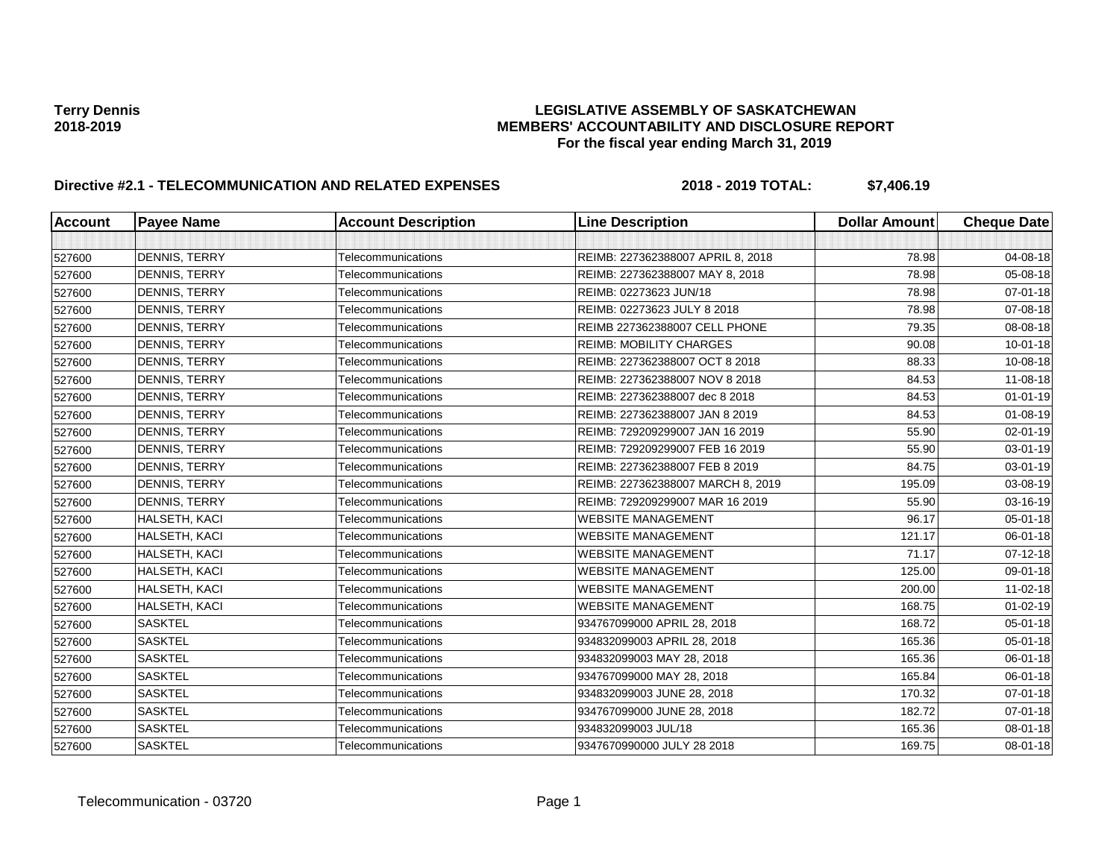| <b>Account</b> | <b>Payee Name</b>    | <b>Account Description</b> | <b>Line Description</b>           | <b>Dollar Amount</b> | <b>Cheque Date</b> |
|----------------|----------------------|----------------------------|-----------------------------------|----------------------|--------------------|
|                |                      |                            |                                   |                      |                    |
| 527600         | <b>DENNIS, TERRY</b> | Telecommunications         | REIMB: 227362388007 APRIL 8, 2018 | 78.98                | 04-08-18           |
| 527600         | DENNIS, TERRY        | Telecommunications         | REIMB: 227362388007 MAY 8, 2018   | 78.98                | 05-08-18           |
| 527600         | <b>DENNIS, TERRY</b> | Telecommunications         | REIMB: 02273623 JUN/18            | 78.98                | 07-01-18           |
| 527600         | <b>DENNIS, TERRY</b> | Telecommunications         | REIMB: 02273623 JULY 8 2018       | 78.98                | 07-08-18           |
| 527600         | <b>DENNIS, TERRY</b> | Telecommunications         | REIMB 227362388007 CELL PHONE     | 79.35                | 08-08-18           |
| 527600         | <b>DENNIS, TERRY</b> | Telecommunications         | <b>REIMB: MOBILITY CHARGES</b>    | 90.08                | $10 - 01 - 18$     |
| 527600         | DENNIS, TERRY        | Telecommunications         | REIMB: 227362388007 OCT 8 2018    | 88.33                | 10-08-18           |
| 527600         | DENNIS, TERRY        | Telecommunications         | REIMB: 227362388007 NOV 8 2018    | 84.53                | 11-08-18           |
| 527600         | DENNIS, TERRY        | Telecommunications         | REIMB: 227362388007 dec 8 2018    | 84.53                | $01 - 01 - 19$     |
| 527600         | <b>DENNIS, TERRY</b> | Telecommunications         | REIMB: 227362388007 JAN 8 2019    | 84.53                | 01-08-19           |
| 527600         | <b>DENNIS, TERRY</b> | Telecommunications         | REIMB: 729209299007 JAN 16 2019   | 55.90                | 02-01-19           |
| 527600         | DENNIS, TERRY        | Telecommunications         | REIMB: 729209299007 FEB 16 2019   | 55.90                | 03-01-19           |
| 527600         | DENNIS, TERRY        | Telecommunications         | REIMB: 227362388007 FEB 8 2019    | 84.75                | 03-01-19           |
| 527600         | DENNIS, TERRY        | Telecommunications         | REIMB: 227362388007 MARCH 8, 2019 | 195.09               | 03-08-19           |
| 527600         | <b>DENNIS, TERRY</b> | Telecommunications         | REIMB: 729209299007 MAR 16 2019   | 55.90                | 03-16-19           |
| 527600         | HALSETH, KACI        | Telecommunications         | <b>WEBSITE MANAGEMENT</b>         | 96.17                | 05-01-18           |
| 527600         | HALSETH, KACI        | Telecommunications         | <b>WEBSITE MANAGEMENT</b>         | 121.17               | 06-01-18           |
| 527600         | HALSETH, KACI        | Telecommunications         | <b>WEBSITE MANAGEMENT</b>         | 71.17                | 07-12-18           |
| 527600         | HALSETH, KACI        | Telecommunications         | <b>WEBSITE MANAGEMENT</b>         | 125.00               | 09-01-18           |
| 527600         | HALSETH, KACI        | Telecommunications         | <b>WEBSITE MANAGEMENT</b>         | 200.00               | $11-02-18$         |
| 527600         | HALSETH, KACI        | Telecommunications         | <b>WEBSITE MANAGEMENT</b>         | 168.75               | $01 - 02 - 19$     |
| 527600         | <b>SASKTEL</b>       | Telecommunications         | 934767099000 APRIL 28, 2018       | 168.72               | 05-01-18           |
| 527600         | <b>SASKTEL</b>       | Telecommunications         | 934832099003 APRIL 28, 2018       | 165.36               | 05-01-18           |
| 527600         | <b>SASKTEL</b>       | Telecommunications         | 934832099003 MAY 28, 2018         | 165.36               | 06-01-18           |
| 527600         | <b>SASKTEL</b>       | Telecommunications         | 934767099000 MAY 28, 2018         | 165.84               | 06-01-18           |
| 527600         | <b>SASKTEL</b>       | Telecommunications         | 934832099003 JUNE 28, 2018        | 170.32               | $07 - 01 - 18$     |
| 527600         | <b>SASKTEL</b>       | Telecommunications         | 934767099000 JUNE 28, 2018        | 182.72               | $07 - 01 - 18$     |
| 527600         | <b>SASKTEL</b>       | Telecommunications         | 934832099003 JUL/18               | 165.36               | $08 - 01 - 18$     |
| 527600         | <b>SASKTEL</b>       | Telecommunications         | 9347670990000 JULY 28 2018        | 169.75               | 08-01-18           |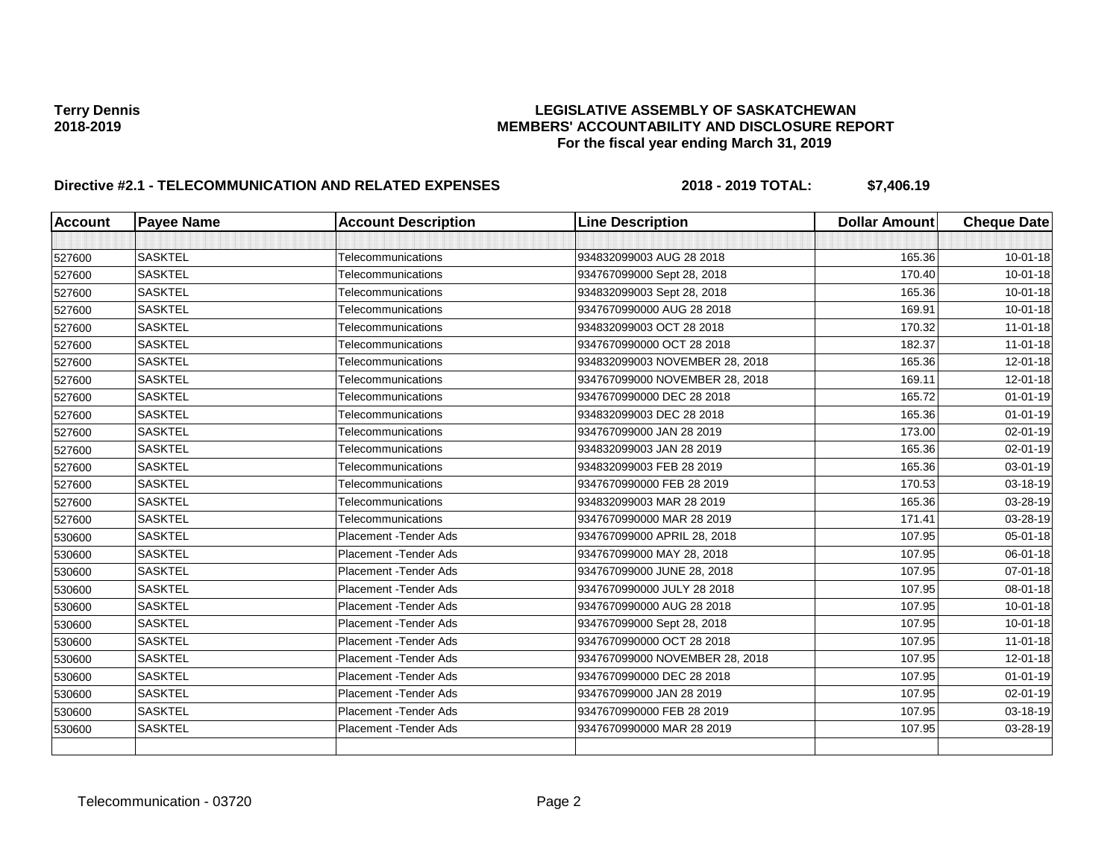| <b>Account</b> | <b>Payee Name</b> | <b>Account Description</b>    | <b>Line Description</b>        | <b>Dollar Amount</b> | <b>Cheque Date</b> |
|----------------|-------------------|-------------------------------|--------------------------------|----------------------|--------------------|
|                |                   |                               |                                |                      |                    |
| 527600         | <b>SASKTEL</b>    | Telecommunications            | 934832099003 AUG 28 2018       | 165.36               | $10 - 01 - 18$     |
| 527600         | <b>SASKTEL</b>    | Telecommunications            | 934767099000 Sept 28, 2018     | 170.40               | $10 - 01 - 18$     |
| 527600         | <b>SASKTEL</b>    | Telecommunications            | 934832099003 Sept 28, 2018     | 165.36               | $10 - 01 - 18$     |
| 527600         | <b>SASKTEL</b>    | Telecommunications            | 9347670990000 AUG 28 2018      | 169.91               | $10 - 01 - 18$     |
| 527600         | <b>SASKTEL</b>    | Telecommunications            | 934832099003 OCT 28 2018       | 170.32               | $11-01-18$         |
| 527600         | <b>SASKTEL</b>    | Telecommunications            | 9347670990000 OCT 28 2018      | 182.37               | $11 - 01 - 18$     |
| 527600         | <b>SASKTEL</b>    | Telecommunications            | 934832099003 NOVEMBER 28, 2018 | 165.36               | 12-01-18           |
| 527600         | <b>SASKTEL</b>    | Telecommunications            | 934767099000 NOVEMBER 28, 2018 | 169.11               | 12-01-18           |
| 527600         | <b>SASKTEL</b>    | Telecommunications            | 9347670990000 DEC 28 2018      | 165.72               | $01 - 01 - 19$     |
| 527600         | <b>SASKTEL</b>    | Telecommunications            | 934832099003 DEC 28 2018       | 165.36               | $01 - 01 - 19$     |
| 527600         | <b>SASKTEL</b>    | Telecommunications            | 934767099000 JAN 28 2019       | 173.00               | 02-01-19           |
| 527600         | <b>SASKTEL</b>    | Telecommunications            | 934832099003 JAN 28 2019       | 165.36               | 02-01-19           |
| 527600         | <b>SASKTEL</b>    | Telecommunications            | 934832099003 FEB 28 2019       | 165.36               | 03-01-19           |
| 527600         | <b>SASKTEL</b>    | Telecommunications            | 9347670990000 FEB 28 2019      | 170.53               | 03-18-19           |
| 527600         | <b>SASKTEL</b>    | Telecommunications            | 934832099003 MAR 28 2019       | 165.36               | 03-28-19           |
| 527600         | <b>SASKTEL</b>    | Telecommunications            | 9347670990000 MAR 28 2019      | 171.41               | 03-28-19           |
| 530600         | <b>SASKTEL</b>    | Placement - Tender Ads        | 934767099000 APRIL 28, 2018    | 107.95               | 05-01-18           |
| 530600         | <b>SASKTEL</b>    | <b>Placement - Tender Ads</b> | 934767099000 MAY 28, 2018      | 107.95               | 06-01-18           |
| 530600         | <b>SASKTEL</b>    | Placement - Tender Ads        | 934767099000 JUNE 28, 2018     | 107.95               | 07-01-18           |
| 530600         | <b>SASKTEL</b>    | Placement - Tender Ads        | 9347670990000 JULY 28 2018     | 107.95               | 08-01-18           |
| 530600         | <b>SASKTEL</b>    | Placement - Tender Ads        | 9347670990000 AUG 28 2018      | 107.95               | $10 - 01 - 18$     |
| 530600         | <b>SASKTEL</b>    | Placement - Tender Ads        | 934767099000 Sept 28, 2018     | 107.95               | $10 - 01 - 18$     |
| 530600         | <b>SASKTEL</b>    | Placement - Tender Ads        | 9347670990000 OCT 28 2018      | 107.95               | $11 - 01 - 18$     |
| 530600         | <b>SASKTEL</b>    | Placement - Tender Ads        | 934767099000 NOVEMBER 28, 2018 | 107.95               | 12-01-18           |
| 530600         | <b>SASKTEL</b>    | Placement - Tender Ads        | 9347670990000 DEC 28 2018      | 107.95               | $01 - 01 - 19$     |
| 530600         | <b>SASKTEL</b>    | <b>Placement - Tender Ads</b> | 934767099000 JAN 28 2019       | 107.95               | 02-01-19           |
| 530600         | <b>SASKTEL</b>    | Placement - Tender Ads        | 9347670990000 FEB 28 2019      | 107.95               | 03-18-19           |
| 530600         | <b>SASKTEL</b>    | Placement - Tender Ads        | 9347670990000 MAR 28 2019      | 107.95               | 03-28-19           |
|                |                   |                               |                                |                      |                    |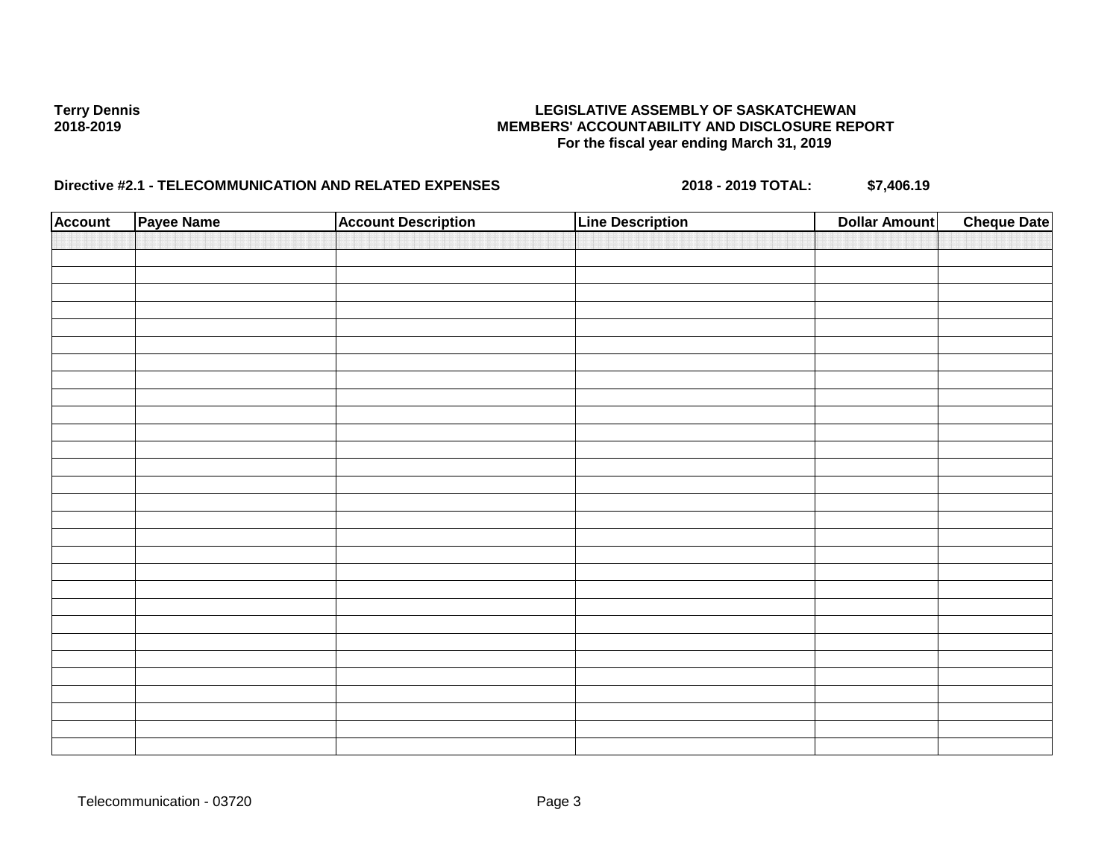| <b>Account</b> | Payee Name | <b>Account Description</b> | <b>Line Description</b> | <b>Dollar Amount</b> | <b>Cheque Date</b> |
|----------------|------------|----------------------------|-------------------------|----------------------|--------------------|
|                |            |                            |                         |                      |                    |
|                |            |                            |                         |                      |                    |
|                |            |                            |                         |                      |                    |
|                |            |                            |                         |                      |                    |
|                |            |                            |                         |                      |                    |
|                |            |                            |                         |                      |                    |
|                |            |                            |                         |                      |                    |
|                |            |                            |                         |                      |                    |
|                |            |                            |                         |                      |                    |
|                |            |                            |                         |                      |                    |
|                |            |                            |                         |                      |                    |
|                |            |                            |                         |                      |                    |
|                |            |                            |                         |                      |                    |
|                |            |                            |                         |                      |                    |
|                |            |                            |                         |                      |                    |
|                |            |                            |                         |                      |                    |
|                |            |                            |                         |                      |                    |
|                |            |                            |                         |                      |                    |
|                |            |                            |                         |                      |                    |
|                |            |                            |                         |                      |                    |
|                |            |                            |                         |                      |                    |
|                |            |                            |                         |                      |                    |
|                |            |                            |                         |                      |                    |
|                |            |                            |                         |                      |                    |
|                |            |                            |                         |                      |                    |
|                |            |                            |                         |                      |                    |
|                |            |                            |                         |                      |                    |
|                |            |                            |                         |                      |                    |
|                |            |                            |                         |                      |                    |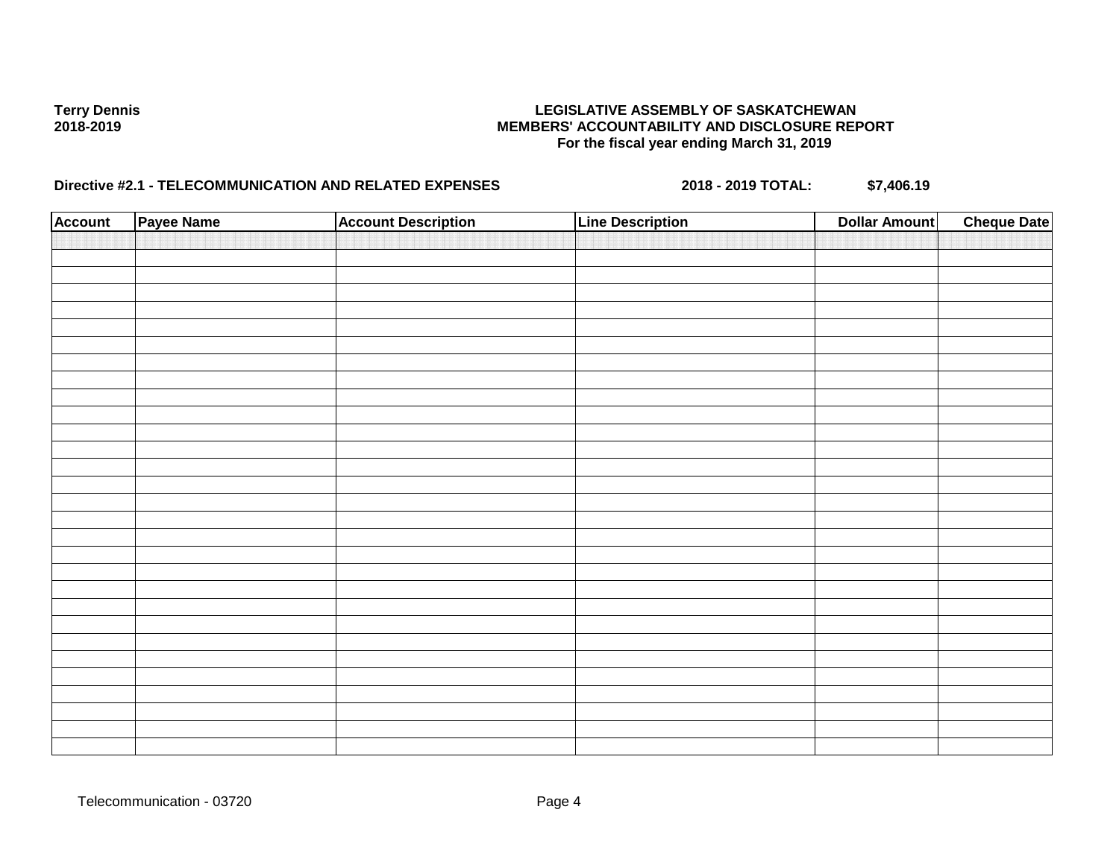| <b>Account</b> | Payee Name | <b>Account Description</b> | <b>Line Description</b> | <b>Dollar Amount</b> | <b>Cheque Date</b> |
|----------------|------------|----------------------------|-------------------------|----------------------|--------------------|
|                |            |                            |                         |                      |                    |
|                |            |                            |                         |                      |                    |
|                |            |                            |                         |                      |                    |
|                |            |                            |                         |                      |                    |
|                |            |                            |                         |                      |                    |
|                |            |                            |                         |                      |                    |
|                |            |                            |                         |                      |                    |
|                |            |                            |                         |                      |                    |
|                |            |                            |                         |                      |                    |
|                |            |                            |                         |                      |                    |
|                |            |                            |                         |                      |                    |
|                |            |                            |                         |                      |                    |
|                |            |                            |                         |                      |                    |
|                |            |                            |                         |                      |                    |
|                |            |                            |                         |                      |                    |
|                |            |                            |                         |                      |                    |
|                |            |                            |                         |                      |                    |
|                |            |                            |                         |                      |                    |
|                |            |                            |                         |                      |                    |
|                |            |                            |                         |                      |                    |
|                |            |                            |                         |                      |                    |
|                |            |                            |                         |                      |                    |
|                |            |                            |                         |                      |                    |
|                |            |                            |                         |                      |                    |
|                |            |                            |                         |                      |                    |
|                |            |                            |                         |                      |                    |
|                |            |                            |                         |                      |                    |
|                |            |                            |                         |                      |                    |
|                |            |                            |                         |                      |                    |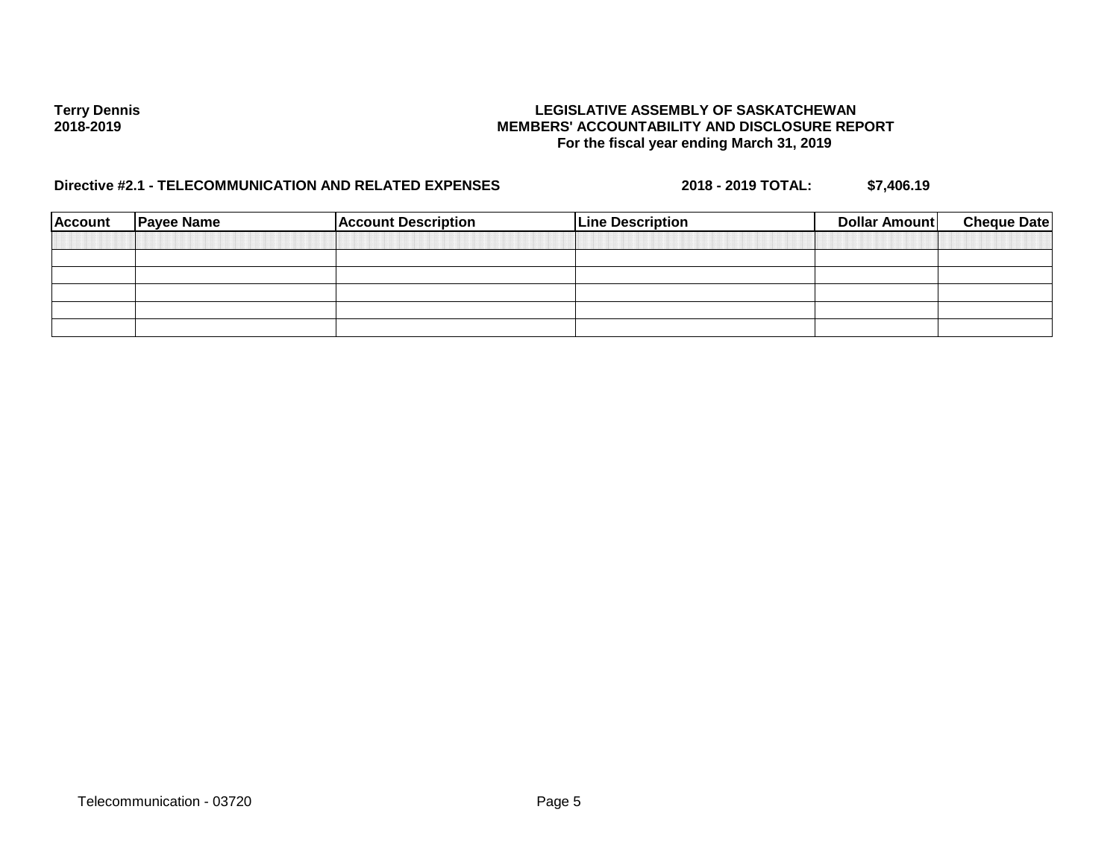| <b>Account</b> | <b>Payee Name</b> | <b>Account Description</b> | <b>Line Description</b> | Dollar Amount | <b>Cheque Date</b> |
|----------------|-------------------|----------------------------|-------------------------|---------------|--------------------|
|                |                   |                            |                         |               |                    |
|                |                   |                            |                         |               |                    |
|                |                   |                            |                         |               |                    |
|                |                   |                            |                         |               |                    |
|                |                   |                            |                         |               |                    |
|                |                   |                            |                         |               |                    |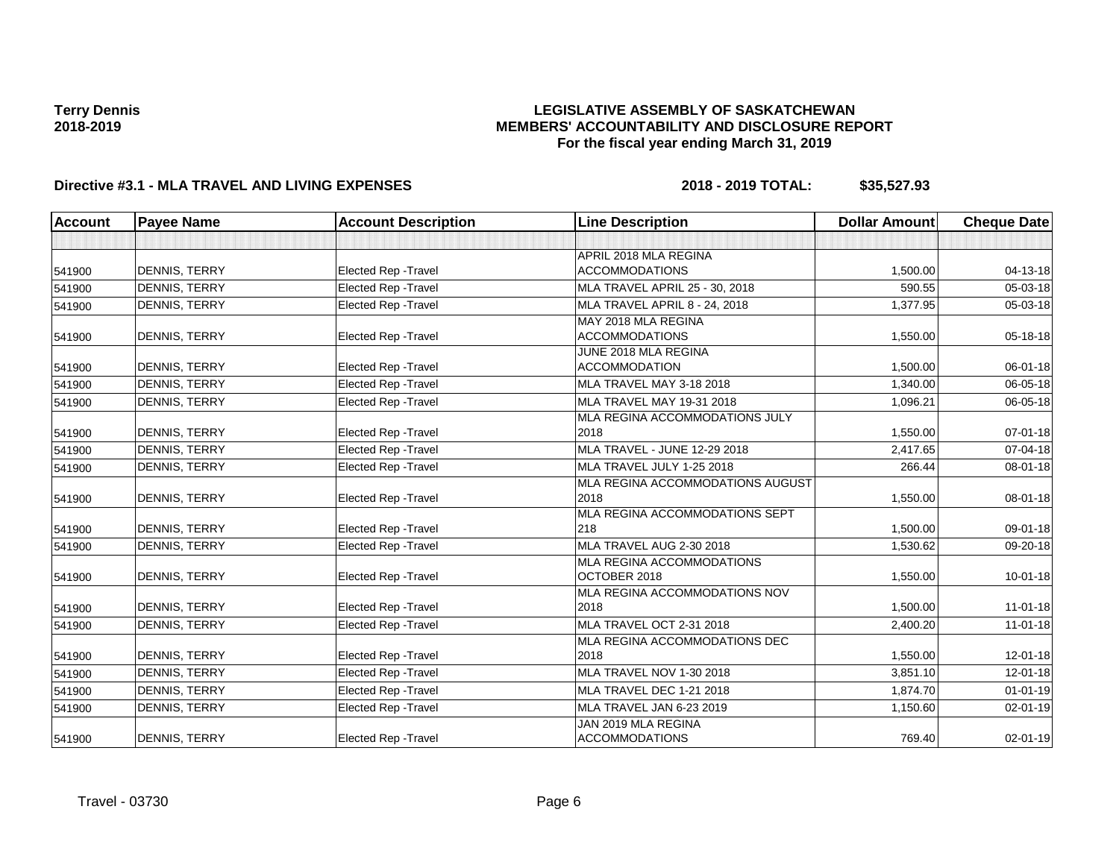### **LEGISLATIVE ASSEMBLY OF SASKATCHEWAN MEMBERS' ACCOUNTABILITY AND DISCLOSURE REPORT For the fiscal year ending March 31, 2019**

| <b>Account</b> | <b>Payee Name</b>    | <b>Account Description</b>  | <b>Line Description</b>               | <b>Dollar Amount</b> | <b>Cheque Date</b> |
|----------------|----------------------|-----------------------------|---------------------------------------|----------------------|--------------------|
|                |                      |                             |                                       |                      |                    |
|                |                      |                             | APRIL 2018 MLA REGINA                 |                      |                    |
| 541900         | DENNIS, TERRY        | Elected Rep - Travel        | <b>ACCOMMODATIONS</b>                 | 1,500.00             | $04 - 13 - 18$     |
| 541900         | <b>DENNIS, TERRY</b> | Elected Rep - Travel        | MLA TRAVEL APRIL 25 - 30, 2018        | 590.55               | 05-03-18           |
| 541900         | <b>DENNIS, TERRY</b> | Elected Rep - Travel        | MLA TRAVEL APRIL 8 - 24, 2018         | 1,377.95             | 05-03-18           |
|                |                      |                             | MAY 2018 MLA REGINA                   |                      |                    |
| 541900         | DENNIS, TERRY        | Elected Rep - Travel        | <b>ACCOMMODATIONS</b>                 | 1,550.00             | $05 - 18 - 18$     |
|                |                      |                             | JUNE 2018 MLA REGINA                  |                      |                    |
| 541900         | DENNIS, TERRY        | <b>Elected Rep - Travel</b> | <b>ACCOMMODATION</b>                  | 1,500.00             | 06-01-18           |
| 541900         | <b>DENNIS, TERRY</b> | Elected Rep - Travel        | MLA TRAVEL MAY 3-18 2018              | 1,340.00             | 06-05-18           |
| 541900         | <b>DENNIS, TERRY</b> | <b>Elected Rep - Travel</b> | MLA TRAVEL MAY 19-31 2018             | 1,096.21             | 06-05-18           |
|                |                      |                             | MLA REGINA ACCOMMODATIONS JULY        |                      |                    |
| 541900         | <b>DENNIS, TERRY</b> | Elected Rep - Travel        | 2018                                  | 1,550.00             | $07 - 01 - 18$     |
| 541900         | <b>DENNIS, TERRY</b> | Elected Rep - Travel        | MLA TRAVEL - JUNE 12-29 2018          | 2,417.65             | 07-04-18           |
| 541900         | <b>DENNIS, TERRY</b> | <b>Elected Rep - Travel</b> | MLA TRAVEL JULY 1-25 2018             | 266.44               | 08-01-18           |
|                |                      |                             | MLA REGINA ACCOMMODATIONS AUGUST      |                      |                    |
| 541900         | <b>DENNIS, TERRY</b> | Elected Rep - Travel        | 2018                                  | 1,550.00             | 08-01-18           |
|                |                      |                             | MLA REGINA ACCOMMODATIONS SEPT        |                      |                    |
| 541900         | <b>DENNIS, TERRY</b> | Elected Rep - Travel        | 218                                   | 1,500.00             | 09-01-18           |
| 541900         | <b>DENNIS, TERRY</b> | Elected Rep - Travel        | MLA TRAVEL AUG 2-30 2018              | 1,530.62             | 09-20-18           |
|                |                      |                             | MLA REGINA ACCOMMODATIONS             |                      |                    |
| 541900         | <b>DENNIS, TERRY</b> | Elected Rep - Travel        | OCTOBER 2018                          | 1,550.00             | $10 - 01 - 18$     |
|                |                      |                             | MLA REGINA ACCOMMODATIONS NOV         |                      |                    |
| 541900         | <b>DENNIS, TERRY</b> | <b>Elected Rep - Travel</b> | 2018                                  | 1,500.00             | $11-01-18$         |
| 541900         | <b>DENNIS, TERRY</b> | Elected Rep - Travel        | MLA TRAVEL OCT 2-31 2018              | 2,400.20             | 11-01-18           |
|                |                      | <b>Elected Rep - Travel</b> | MLA REGINA ACCOMMODATIONS DEC<br>2018 |                      |                    |
| 541900         | DENNIS, TERRY        |                             |                                       | 1,550.00             | 12-01-18           |
| 541900         | <b>DENNIS, TERRY</b> | Elected Rep - Travel        | MLA TRAVEL NOV 1-30 2018              | 3,851.10             | $12 - 01 - 18$     |
| 541900         | <b>DENNIS, TERRY</b> | Elected Rep - Travel        | MLA TRAVEL DEC 1-21 2018              | 1,874.70             | $01 - 01 - 19$     |
| 541900         | <b>DENNIS, TERRY</b> | Elected Rep - Travel        | MLA TRAVEL JAN 6-23 2019              | 1,150.60             | 02-01-19           |
|                |                      |                             | JAN 2019 MLA REGINA                   |                      |                    |
| 541900         | <b>DENNIS, TERRY</b> | Elected Rep - Travel        | <b>ACCOMMODATIONS</b>                 | 769.40               | $02 - 01 - 19$     |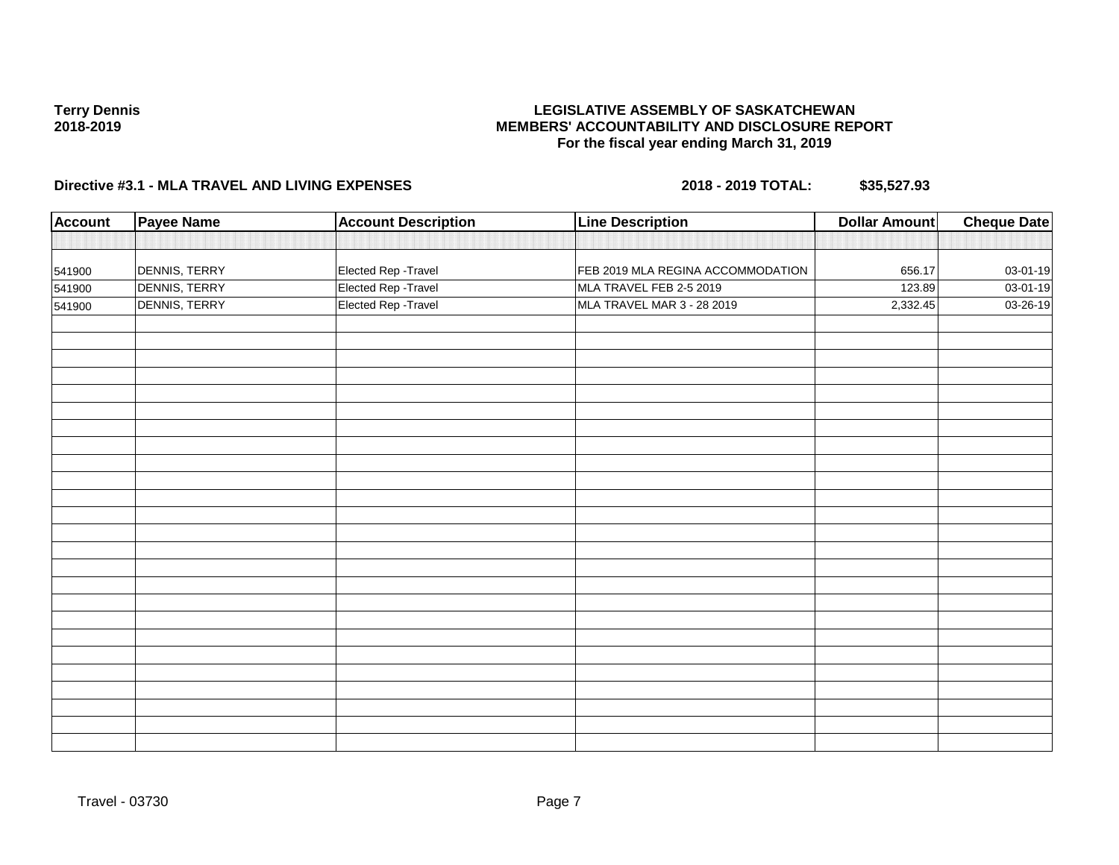### **LEGISLATIVE ASSEMBLY OF SASKATCHEWAN MEMBERS' ACCOUNTABILITY AND DISCLOSURE REPORT For the fiscal year ending March 31, 2019**

| <b>Account</b> | <b>Payee Name</b> | <b>Account Description</b> | <b>Line Description</b>           | <b>Dollar Amount</b> | <b>Cheque Date</b> |
|----------------|-------------------|----------------------------|-----------------------------------|----------------------|--------------------|
|                |                   |                            |                                   |                      |                    |
| 541900         | DENNIS, TERRY     | Elected Rep - Travel       | FEB 2019 MLA REGINA ACCOMMODATION | 656.17               | 03-01-19           |
| 541900         | DENNIS, TERRY     | Elected Rep - Travel       | MLA TRAVEL FEB 2-5 2019           | 123.89               | 03-01-19           |
| 541900         | DENNIS, TERRY     | Elected Rep - Travel       | MLA TRAVEL MAR 3 - 28 2019        | 2,332.45             | 03-26-19           |
|                |                   |                            |                                   |                      |                    |
|                |                   |                            |                                   |                      |                    |
|                |                   |                            |                                   |                      |                    |
|                |                   |                            |                                   |                      |                    |
|                |                   |                            |                                   |                      |                    |
|                |                   |                            |                                   |                      |                    |
|                |                   |                            |                                   |                      |                    |
|                |                   |                            |                                   |                      |                    |
|                |                   |                            |                                   |                      |                    |
|                |                   |                            |                                   |                      |                    |
|                |                   |                            |                                   |                      |                    |
|                |                   |                            |                                   |                      |                    |
|                |                   |                            |                                   |                      |                    |
|                |                   |                            |                                   |                      |                    |
|                |                   |                            |                                   |                      |                    |
|                |                   |                            |                                   |                      |                    |
|                |                   |                            |                                   |                      |                    |
|                |                   |                            |                                   |                      |                    |
|                |                   |                            |                                   |                      |                    |
|                |                   |                            |                                   |                      |                    |
|                |                   |                            |                                   |                      |                    |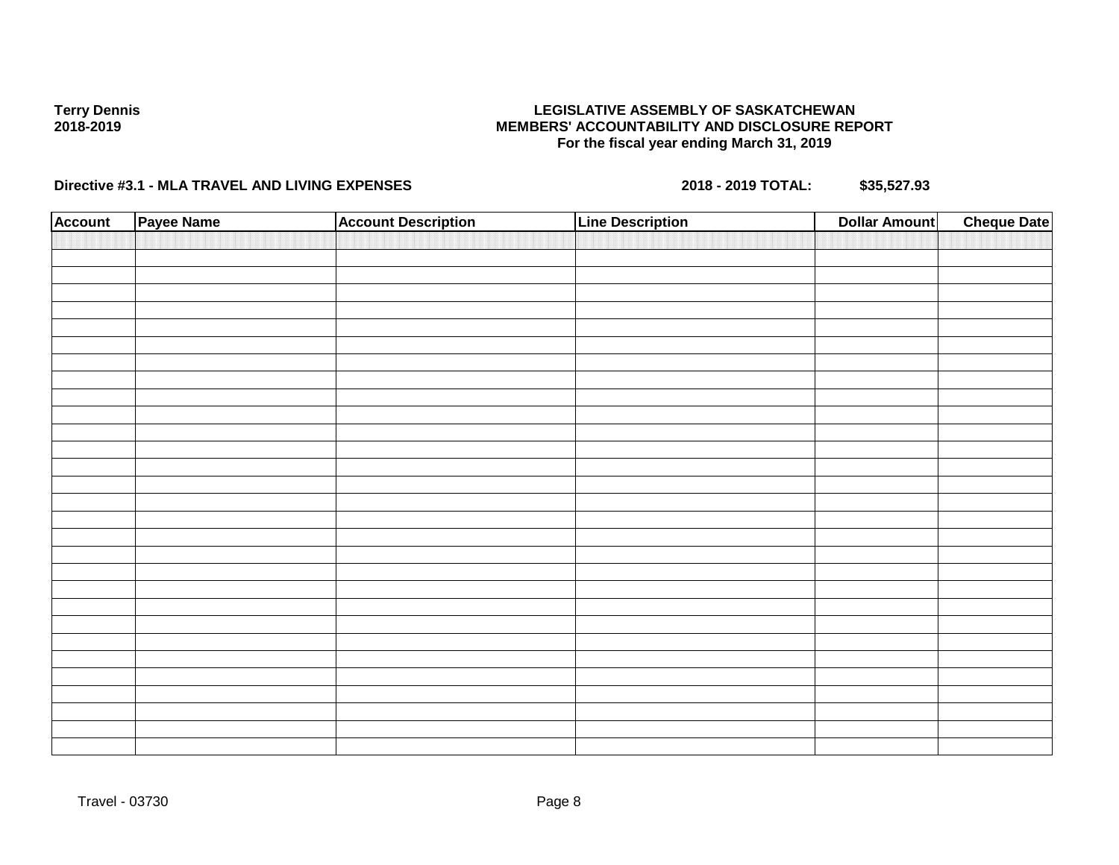### **LEGISLATIVE ASSEMBLY OF SASKATCHEWAN MEMBERS' ACCOUNTABILITY AND DISCLOSURE REPORT For the fiscal year ending March 31, 2019**

| <b>Account</b> | Payee Name | <b>Account Description</b> | <b>Line Description</b> | <b>Dollar Amount</b> | <b>Cheque Date</b> |
|----------------|------------|----------------------------|-------------------------|----------------------|--------------------|
|                |            |                            |                         |                      |                    |
|                |            |                            |                         |                      |                    |
|                |            |                            |                         |                      |                    |
|                |            |                            |                         |                      |                    |
|                |            |                            |                         |                      |                    |
|                |            |                            |                         |                      |                    |
|                |            |                            |                         |                      |                    |
|                |            |                            |                         |                      |                    |
|                |            |                            |                         |                      |                    |
|                |            |                            |                         |                      |                    |
|                |            |                            |                         |                      |                    |
|                |            |                            |                         |                      |                    |
|                |            |                            |                         |                      |                    |
|                |            |                            |                         |                      |                    |
|                |            |                            |                         |                      |                    |
|                |            |                            |                         |                      |                    |
|                |            |                            |                         |                      |                    |
|                |            |                            |                         |                      |                    |
|                |            |                            |                         |                      |                    |
|                |            |                            |                         |                      |                    |
|                |            |                            |                         |                      |                    |
|                |            |                            |                         |                      |                    |
|                |            |                            |                         |                      |                    |
|                |            |                            |                         |                      |                    |
|                |            |                            |                         |                      |                    |
|                |            |                            |                         |                      |                    |
|                |            |                            |                         |                      |                    |
|                |            |                            |                         |                      |                    |
|                |            |                            |                         |                      |                    |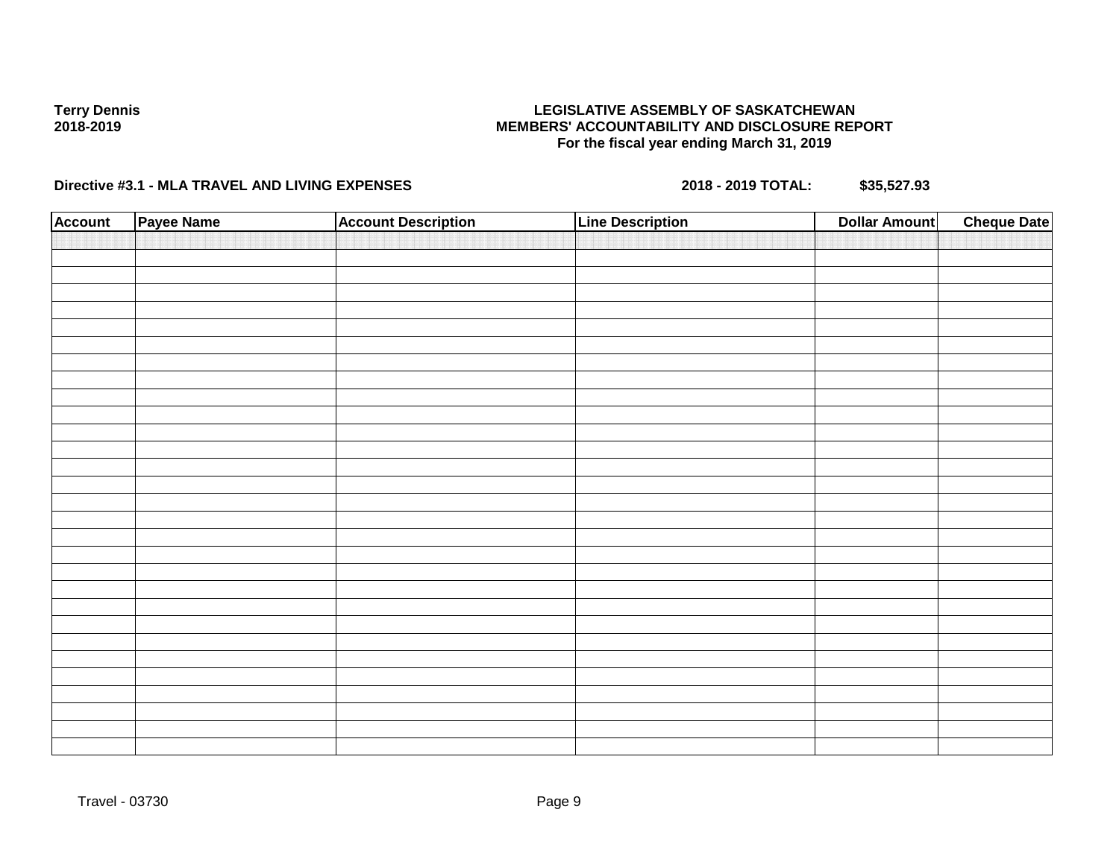### **LEGISLATIVE ASSEMBLY OF SASKATCHEWAN MEMBERS' ACCOUNTABILITY AND DISCLOSURE REPORT For the fiscal year ending March 31, 2019**

| <b>Account</b> | Payee Name | <b>Account Description</b> | <b>Line Description</b> | <b>Dollar Amount</b> | <b>Cheque Date</b> |
|----------------|------------|----------------------------|-------------------------|----------------------|--------------------|
|                |            |                            |                         |                      |                    |
|                |            |                            |                         |                      |                    |
|                |            |                            |                         |                      |                    |
|                |            |                            |                         |                      |                    |
|                |            |                            |                         |                      |                    |
|                |            |                            |                         |                      |                    |
|                |            |                            |                         |                      |                    |
|                |            |                            |                         |                      |                    |
|                |            |                            |                         |                      |                    |
|                |            |                            |                         |                      |                    |
|                |            |                            |                         |                      |                    |
|                |            |                            |                         |                      |                    |
|                |            |                            |                         |                      |                    |
|                |            |                            |                         |                      |                    |
|                |            |                            |                         |                      |                    |
|                |            |                            |                         |                      |                    |
|                |            |                            |                         |                      |                    |
|                |            |                            |                         |                      |                    |
|                |            |                            |                         |                      |                    |
|                |            |                            |                         |                      |                    |
|                |            |                            |                         |                      |                    |
|                |            |                            |                         |                      |                    |
|                |            |                            |                         |                      |                    |
|                |            |                            |                         |                      |                    |
|                |            |                            |                         |                      |                    |
|                |            |                            |                         |                      |                    |
|                |            |                            |                         |                      |                    |
|                |            |                            |                         |                      |                    |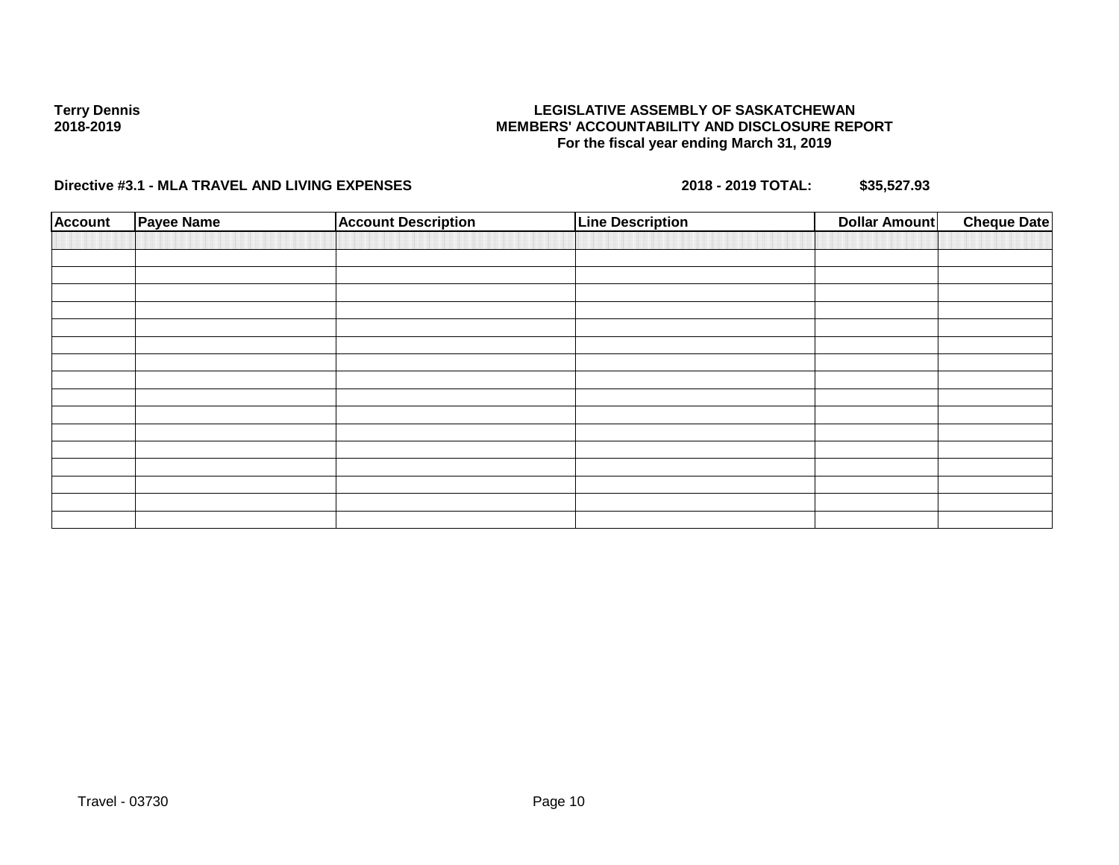### **LEGISLATIVE ASSEMBLY OF SASKATCHEWAN MEMBERS' ACCOUNTABILITY AND DISCLOSURE REPORT For the fiscal year ending March 31, 2019**

| <b>Account</b> | <b>Payee Name</b> | <b>Account Description</b> | <b>Line Description</b> | Dollar Amount | <b>Cheque Date</b> |
|----------------|-------------------|----------------------------|-------------------------|---------------|--------------------|
|                |                   |                            |                         |               |                    |
|                |                   |                            |                         |               |                    |
|                |                   |                            |                         |               |                    |
|                |                   |                            |                         |               |                    |
|                |                   |                            |                         |               |                    |
|                |                   |                            |                         |               |                    |
|                |                   |                            |                         |               |                    |
|                |                   |                            |                         |               |                    |
|                |                   |                            |                         |               |                    |
|                |                   |                            |                         |               |                    |
|                |                   |                            |                         |               |                    |
|                |                   |                            |                         |               |                    |
|                |                   |                            |                         |               |                    |
|                |                   |                            |                         |               |                    |
|                |                   |                            |                         |               |                    |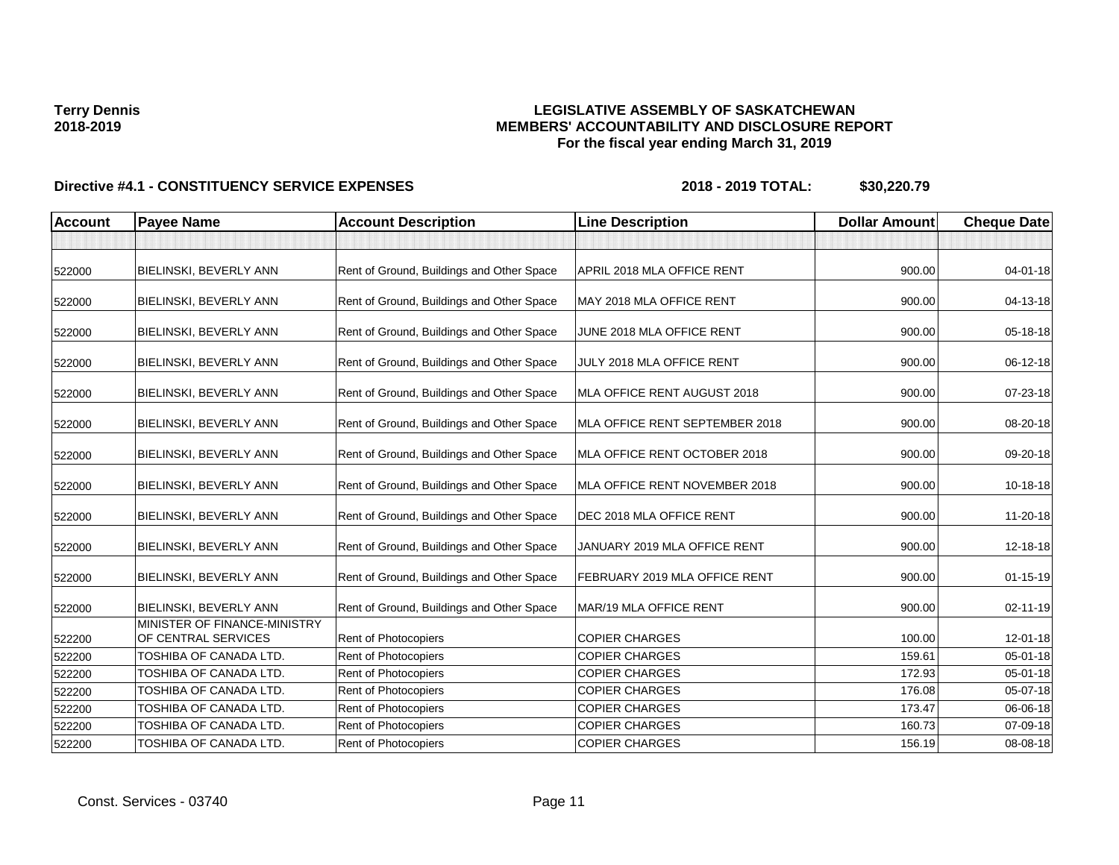### **LEGISLATIVE ASSEMBLY OF SASKATCHEWAN MEMBERS' ACCOUNTABILITY AND DISCLOSURE REPORT For the fiscal year ending March 31, 2019**

| <b>Account</b> | <b>Payee Name</b>                                             | <b>Account Description</b>                | <b>Line Description</b>        | <b>Dollar Amount</b> | <b>Cheque Date</b> |
|----------------|---------------------------------------------------------------|-------------------------------------------|--------------------------------|----------------------|--------------------|
|                |                                                               |                                           |                                |                      |                    |
| 522000         | <b>BIELINSKI, BEVERLY ANN</b>                                 | Rent of Ground, Buildings and Other Space | APRIL 2018 MLA OFFICE RENT     | 900.00               | 04-01-18           |
| 522000         | BIELINSKI, BEVERLY ANN                                        | Rent of Ground, Buildings and Other Space | MAY 2018 MLA OFFICE RENT       | 900.00               | 04-13-18           |
| 522000         | BIELINSKI, BEVERLY ANN                                        | Rent of Ground, Buildings and Other Space | JUNE 2018 MLA OFFICE RENT      | 900.00               | 05-18-18           |
| 522000         | BIELINSKI, BEVERLY ANN                                        | Rent of Ground, Buildings and Other Space | JULY 2018 MLA OFFICE RENT      | 900.00               | 06-12-18           |
| 522000         | <b>BIELINSKI, BEVERLY ANN</b>                                 | Rent of Ground, Buildings and Other Space | MLA OFFICE RENT AUGUST 2018    | 900.00               | 07-23-18           |
| 522000         | <b>BIELINSKI, BEVERLY ANN</b>                                 | Rent of Ground, Buildings and Other Space | MLA OFFICE RENT SEPTEMBER 2018 | 900.00               | 08-20-18           |
| 522000         | BIELINSKI, BEVERLY ANN                                        | Rent of Ground, Buildings and Other Space | MLA OFFICE RENT OCTOBER 2018   | 900.00               | 09-20-18           |
| 522000         | BIELINSKI, BEVERLY ANN                                        | Rent of Ground, Buildings and Other Space | MLA OFFICE RENT NOVEMBER 2018  | 900.00               | 10-18-18           |
| 522000         | <b>BIELINSKI, BEVERLY ANN</b>                                 | Rent of Ground, Buildings and Other Space | DEC 2018 MLA OFFICE RENT       | 900.00               | 11-20-18           |
| 522000         | BIELINSKI, BEVERLY ANN                                        | Rent of Ground, Buildings and Other Space | JANUARY 2019 MLA OFFICE RENT   | 900.00               | 12-18-18           |
| 522000         | BIELINSKI, BEVERLY ANN                                        | Rent of Ground, Buildings and Other Space | FEBRUARY 2019 MLA OFFICE RENT  | 900.00               | $01 - 15 - 19$     |
| 522000         | <b>BIELINSKI, BEVERLY ANN</b><br>MINISTER OF FINANCE-MINISTRY | Rent of Ground, Buildings and Other Space | MAR/19 MLA OFFICE RENT         | 900.00               | 02-11-19           |
| 522200         | OF CENTRAL SERVICES                                           | Rent of Photocopiers                      | <b>COPIER CHARGES</b>          | 100.00               | 12-01-18           |
| 522200         | TOSHIBA OF CANADA LTD.                                        | Rent of Photocopiers                      | <b>COPIER CHARGES</b>          | 159.61               | 05-01-18           |
| 522200         | TOSHIBA OF CANADA LTD.                                        | <b>Rent of Photocopiers</b>               | <b>COPIER CHARGES</b>          | 172.93               | 05-01-18           |
| 522200         | TOSHIBA OF CANADA LTD.                                        | Rent of Photocopiers                      | <b>COPIER CHARGES</b>          | 176.08               | 05-07-18           |
| 522200         | <b>TOSHIBA OF CANADA LTD.</b>                                 | Rent of Photocopiers                      | <b>COPIER CHARGES</b>          | 173.47               | 06-06-18           |
| 522200         | TOSHIBA OF CANADA LTD.                                        | Rent of Photocopiers                      | <b>COPIER CHARGES</b>          | 160.73               | 07-09-18           |
| 522200         | TOSHIBA OF CANADA LTD.                                        | Rent of Photocopiers                      | <b>COPIER CHARGES</b>          | 156.19               | 08-08-18           |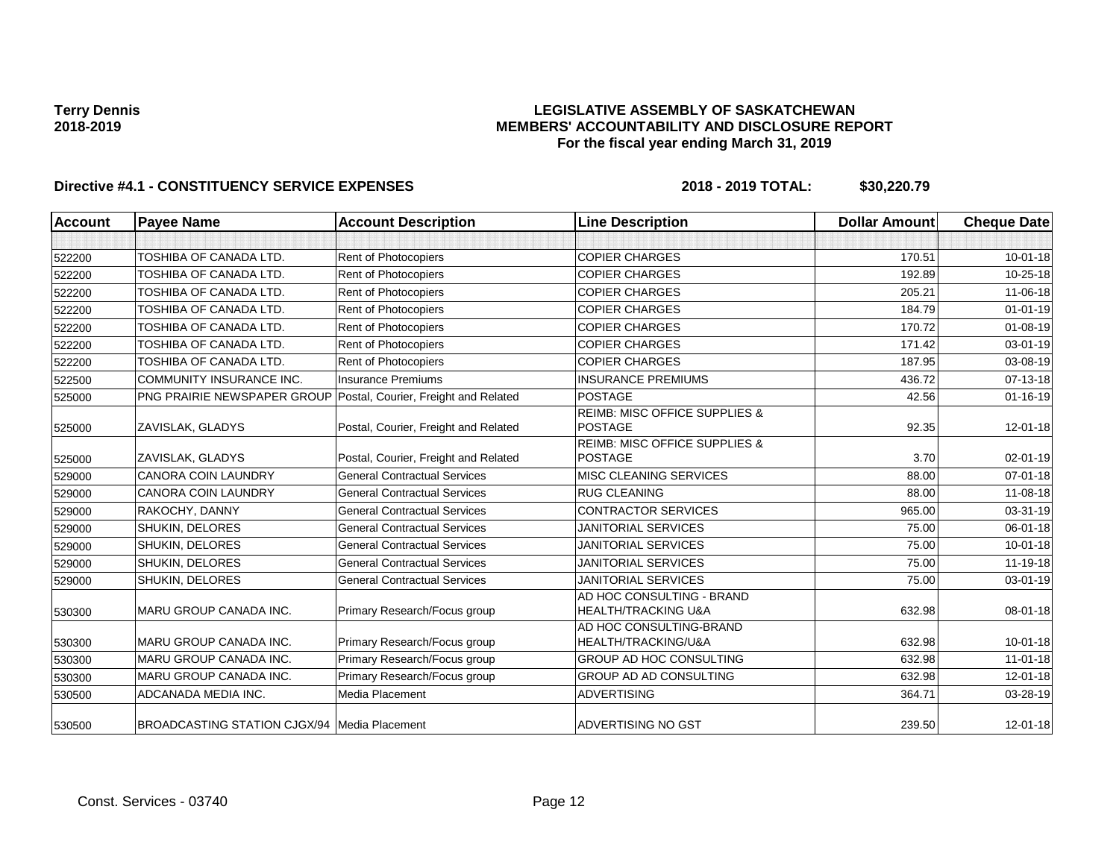### **LEGISLATIVE ASSEMBLY OF SASKATCHEWAN MEMBERS' ACCOUNTABILITY AND DISCLOSURE REPORT For the fiscal year ending March 31, 2019**

| <b>Account</b> | <b>Payee Name</b>                                                | <b>Account Description</b>           | <b>Line Description</b>                                     | <b>Dollar Amount</b> | <b>Cheque Date</b> |
|----------------|------------------------------------------------------------------|--------------------------------------|-------------------------------------------------------------|----------------------|--------------------|
|                |                                                                  |                                      |                                                             |                      |                    |
| 522200         | TOSHIBA OF CANADA LTD.                                           | Rent of Photocopiers                 | <b>COPIER CHARGES</b>                                       | 170.51               | $10 - 01 - 18$     |
| 522200         | TOSHIBA OF CANADA LTD.                                           | Rent of Photocopiers                 | <b>COPIER CHARGES</b>                                       | 192.89               | 10-25-18           |
| 522200         | TOSHIBA OF CANADA LTD.                                           | Rent of Photocopiers                 | <b>COPIER CHARGES</b>                                       | 205.21               | 11-06-18           |
| 522200         | TOSHIBA OF CANADA LTD.                                           | Rent of Photocopiers                 | <b>COPIER CHARGES</b>                                       | 184.79               | $01 - 01 - 19$     |
| 522200         | TOSHIBA OF CANADA LTD.                                           | Rent of Photocopiers                 | <b>COPIER CHARGES</b>                                       | 170.72               | $01 - 08 - 19$     |
| 522200         | TOSHIBA OF CANADA LTD.                                           | Rent of Photocopiers                 | <b>COPIER CHARGES</b>                                       | 171.42               | 03-01-19           |
| 522200         | TOSHIBA OF CANADA LTD.                                           | Rent of Photocopiers                 | <b>COPIER CHARGES</b>                                       | 187.95               | 03-08-19           |
| 522500         | COMMUNITY INSURANCE INC.                                         | <b>Insurance Premiums</b>            | <b>INSURANCE PREMIUMS</b>                                   | 436.72               | 07-13-18           |
| 525000         | PNG PRAIRIE NEWSPAPER GROUP Postal, Courier, Freight and Related |                                      | <b>POSTAGE</b>                                              | 42.56                | $01 - 16 - 19$     |
| 525000         | <b>ZAVISLAK, GLADYS</b>                                          | Postal, Courier, Freight and Related | <b>REIMB: MISC OFFICE SUPPLIES &amp;</b><br><b>POSTAGE</b>  | 92.35                | $12 - 01 - 18$     |
|                |                                                                  |                                      | <b>REIMB: MISC OFFICE SUPPLIES &amp;</b>                    |                      |                    |
| 525000         | ZAVISLAK, GLADYS                                                 | Postal, Courier, Freight and Related | <b>POSTAGE</b>                                              | 3.70                 | $02 - 01 - 19$     |
| 529000         | <b>CANORA COIN LAUNDRY</b>                                       | <b>General Contractual Services</b>  | MISC CLEANING SERVICES                                      | 88.00                | $07 - 01 - 18$     |
| 529000         | <b>CANORA COIN LAUNDRY</b>                                       | <b>General Contractual Services</b>  | <b>RUG CLEANING</b>                                         | 88.00                | 11-08-18           |
| 529000         | RAKOCHY, DANNY                                                   | <b>General Contractual Services</b>  | <b>CONTRACTOR SERVICES</b>                                  | 965.00               | 03-31-19           |
| 529000         | SHUKIN, DELORES                                                  | <b>General Contractual Services</b>  | <b>JANITORIAL SERVICES</b>                                  | 75.00                | 06-01-18           |
| 529000         | SHUKIN, DELORES                                                  | <b>General Contractual Services</b>  | <b>JANITORIAL SERVICES</b>                                  | 75.00                | $10 - 01 - 18$     |
| 529000         | SHUKIN, DELORES                                                  | <b>General Contractual Services</b>  | <b>JANITORIAL SERVICES</b>                                  | 75.00                | 11-19-18           |
| 529000         | SHUKIN, DELORES                                                  | <b>General Contractual Services</b>  | <b>JANITORIAL SERVICES</b>                                  | 75.00                | 03-01-19           |
| 530300         | MARU GROUP CANADA INC.                                           | Primary Research/Focus group         | AD HOC CONSULTING - BRAND<br><b>HEALTH/TRACKING U&amp;A</b> | 632.98               | 08-01-18           |
| 530300         | MARU GROUP CANADA INC.                                           | Primary Research/Focus group         | AD HOC CONSULTING-BRAND<br>HEALTH/TRACKING/U&A              | 632.98               | 10-01-18           |
| 530300         | MARU GROUP CANADA INC.                                           | Primary Research/Focus group         | GROUP AD HOC CONSULTING                                     | 632.98               | $11 - 01 - 18$     |
| 530300         | <b>MARU GROUP CANADA INC.</b>                                    | Primary Research/Focus group         | <b>GROUP AD AD CONSULTING</b>                               | 632.98               | $12 - 01 - 18$     |
| 530500         | ADCANADA MEDIA INC.                                              | Media Placement                      | <b>ADVERTISING</b>                                          | 364.71               | 03-28-19           |
| 530500         | <b>BROADCASTING STATION CJGX/94   Media Placement</b>            |                                      | ADVERTISING NO GST                                          | 239.50               | 12-01-18           |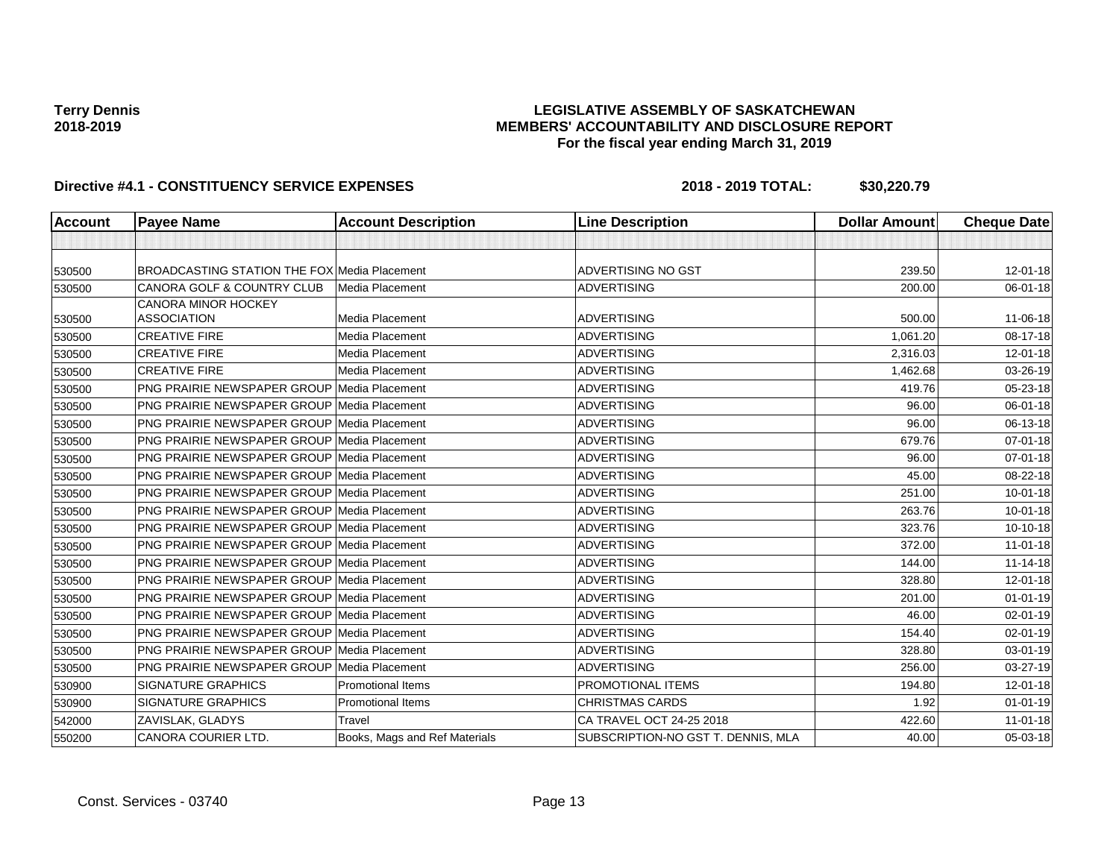### **LEGISLATIVE ASSEMBLY OF SASKATCHEWAN MEMBERS' ACCOUNTABILITY AND DISCLOSURE REPORT For the fiscal year ending March 31, 2019**

| <b>Account</b> | <b>Payee Name</b>                                   | <b>Account Description</b>    | <b>Line Description</b>            | <b>Dollar Amount</b> | <b>Cheque Date</b> |
|----------------|-----------------------------------------------------|-------------------------------|------------------------------------|----------------------|--------------------|
|                |                                                     |                               |                                    |                      |                    |
| 530500         | <b>BROADCASTING STATION THE FOX Media Placement</b> |                               | <b>ADVERTISING NO GST</b>          | 239.50               | $12 - 01 - 18$     |
| 530500         | <b>CANORA GOLF &amp; COUNTRY CLUB</b>               | Media Placement               | <b>ADVERTISING</b>                 | 200.00               | 06-01-18           |
| 530500         | <b>CANORA MINOR HOCKEY</b><br><b>ASSOCIATION</b>    | Media Placement               | <b>ADVERTISING</b>                 | 500.00               | 11-06-18           |
| 530500         | <b>CREATIVE FIRE</b>                                | Media Placement               | <b>ADVERTISING</b>                 | 1,061.20             | 08-17-18           |
| 530500         | <b>CREATIVE FIRE</b>                                | Media Placement               | <b>ADVERTISING</b>                 | 2,316.03             | $12 - 01 - 18$     |
| 530500         | <b>CREATIVE FIRE</b>                                | Media Placement               | <b>ADVERTISING</b>                 | 1,462.68             | 03-26-19           |
| 530500         | PNG PRAIRIE NEWSPAPER GROUP Media Placement         |                               | <b>ADVERTISING</b>                 | 419.76               | 05-23-18           |
| 530500         | PNG PRAIRIE NEWSPAPER GROUP Media Placement         |                               | <b>ADVERTISING</b>                 | 96.00                | 06-01-18           |
| 530500         | <b>PNG PRAIRIE NEWSPAPER GROUP Media Placement</b>  |                               | <b>ADVERTISING</b>                 | 96.00                | 06-13-18           |
| 530500         | <b>PNG PRAIRIE NEWSPAPER GROUP Media Placement</b>  |                               | <b>ADVERTISING</b>                 | 679.76               | $07 - 01 - 18$     |
| 530500         | <b>PNG PRAIRIE NEWSPAPER GROUP Media Placement</b>  |                               | <b>ADVERTISING</b>                 | 96.00                | $07 - 01 - 18$     |
| 530500         | <b>PNG PRAIRIE NEWSPAPER GROUP Media Placement</b>  |                               | <b>ADVERTISING</b>                 | 45.00                | 08-22-18           |
| 530500         | <b>PNG PRAIRIE NEWSPAPER GROUP Media Placement</b>  |                               | <b>ADVERTISING</b>                 | 251.00               | $10 - 01 - 18$     |
| 530500         | <b>PNG PRAIRIE NEWSPAPER GROUP Media Placement</b>  |                               | <b>ADVERTISING</b>                 | 263.76               | $10 - 01 - 18$     |
| 530500         | <b>PNG PRAIRIE NEWSPAPER GROUP Media Placement</b>  |                               | <b>ADVERTISING</b>                 | 323.76               | $10-10-18$         |
| 530500         | <b>PNG PRAIRIE NEWSPAPER GROUP Media Placement</b>  |                               | <b>ADVERTISING</b>                 | 372.00               | $11-01-18$         |
| 530500         | <b>PNG PRAIRIE NEWSPAPER GROUP Media Placement</b>  |                               | <b>ADVERTISING</b>                 | 144.00               | $11 - 14 - 18$     |
| 530500         | <b>PNG PRAIRIE NEWSPAPER GROUP Media Placement</b>  |                               | <b>ADVERTISING</b>                 | 328.80               | $12 - 01 - 18$     |
| 530500         | PNG PRAIRIE NEWSPAPER GROUP Media Placement         |                               | <b>ADVERTISING</b>                 | 201.00               | $01 - 01 - 19$     |
| 530500         | <b>PNG PRAIRIE NEWSPAPER GROUP Media Placement</b>  |                               | <b>ADVERTISING</b>                 | 46.00                | $02 - 01 - 19$     |
| 530500         | <b>PNG PRAIRIE NEWSPAPER GROUP Media Placement</b>  |                               | <b>ADVERTISING</b>                 | 154.40               | $02 - 01 - 19$     |
| 530500         | <b>PNG PRAIRIE NEWSPAPER GROUP Media Placement</b>  |                               | <b>ADVERTISING</b>                 | 328.80               | 03-01-19           |
| 530500         | <b>PNG PRAIRIE NEWSPAPER GROUP Media Placement</b>  |                               | <b>ADVERTISING</b>                 | 256.00               | 03-27-19           |
| 530900         | <b>SIGNATURE GRAPHICS</b>                           | <b>Promotional Items</b>      | PROMOTIONAL ITEMS                  | 194.80               | $12 - 01 - 18$     |
| 530900         | <b>SIGNATURE GRAPHICS</b>                           | <b>Promotional Items</b>      | <b>CHRISTMAS CARDS</b>             | 1.92                 | $01 - 01 - 19$     |
| 542000         | ZAVISLAK, GLADYS                                    | Travel                        | CA TRAVEL OCT 24-25 2018           | 422.60               | $11 - 01 - 18$     |
| 550200         | CANORA COURIER LTD.                                 | Books, Mags and Ref Materials | SUBSCRIPTION-NO GST T. DENNIS, MLA | 40.00                | $05 - 03 - 18$     |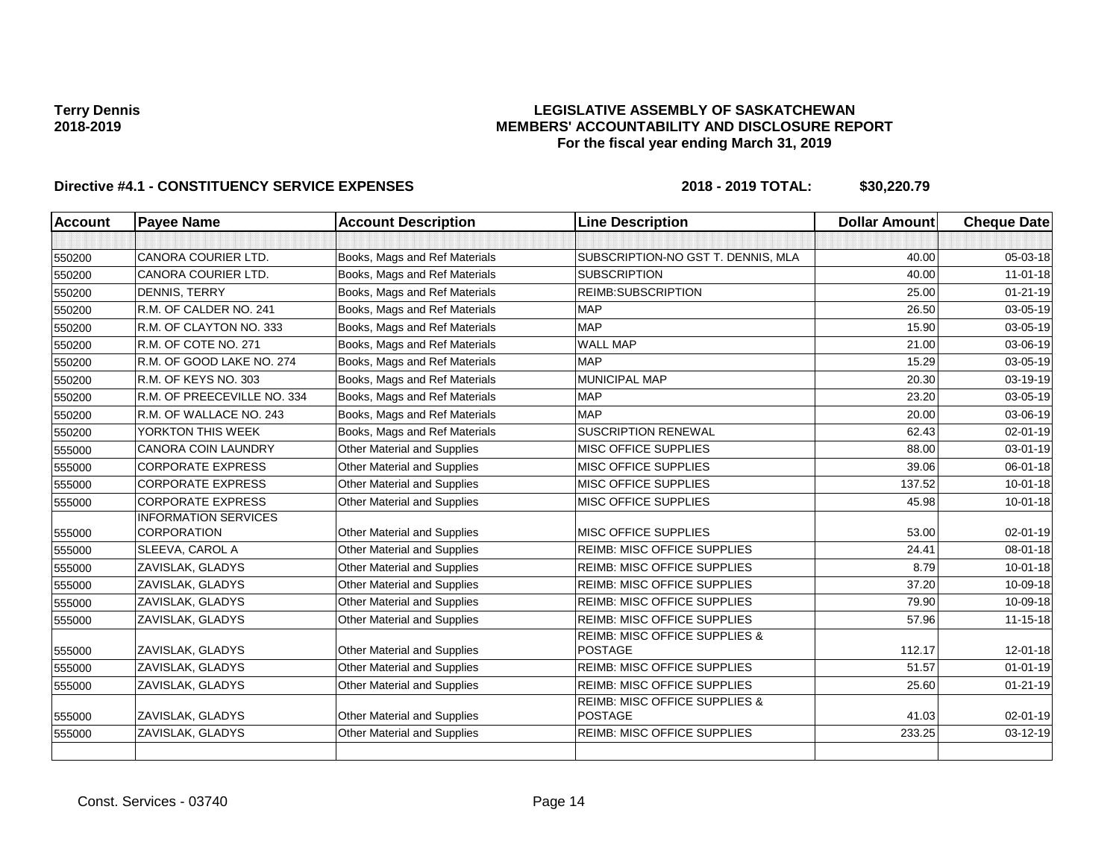### **LEGISLATIVE ASSEMBLY OF SASKATCHEWAN MEMBERS' ACCOUNTABILITY AND DISCLOSURE REPORT For the fiscal year ending March 31, 2019**

| <b>Account</b> | <b>Payee Name</b>           | <b>Account Description</b>         | <b>Line Description</b>                                    | <b>Dollar Amount</b> | <b>Cheque Date</b> |
|----------------|-----------------------------|------------------------------------|------------------------------------------------------------|----------------------|--------------------|
|                |                             |                                    |                                                            |                      |                    |
| 550200         | <b>CANORA COURIER LTD.</b>  | Books, Mags and Ref Materials      | SUBSCRIPTION-NO GST T. DENNIS, MLA                         | 40.00                | 05-03-18           |
| 550200         | <b>CANORA COURIER LTD.</b>  | Books, Mags and Ref Materials      | <b>SUBSCRIPTION</b>                                        | 40.00                | $11 - 01 - 18$     |
| 550200         | <b>DENNIS, TERRY</b>        | Books, Mags and Ref Materials      | REIMB:SUBSCRIPTION                                         | 25.00                | $01 - 21 - 19$     |
| 550200         | R.M. OF CALDER NO. 241      | Books, Mags and Ref Materials      | <b>MAP</b>                                                 | 26.50                | 03-05-19           |
| 550200         | R.M. OF CLAYTON NO. 333     | Books, Mags and Ref Materials      | <b>MAP</b>                                                 | 15.90                | 03-05-19           |
| 550200         | R.M. OF COTE NO. 271        | Books, Mags and Ref Materials      | <b>WALL MAP</b>                                            | 21.00                | 03-06-19           |
| 550200         | R.M. OF GOOD LAKE NO. 274   | Books, Mags and Ref Materials      | <b>MAP</b>                                                 | 15.29                | 03-05-19           |
| 550200         | R.M. OF KEYS NO. 303        | Books, Mags and Ref Materials      | MUNICIPAL MAP                                              | 20.30                | 03-19-19           |
| 550200         | R.M. OF PREECEVILLE NO. 334 | Books, Mags and Ref Materials      | <b>MAP</b>                                                 | 23.20                | 03-05-19           |
| 550200         | R.M. OF WALLACE NO. 243     | Books, Mags and Ref Materials      | <b>MAP</b>                                                 | 20.00                | 03-06-19           |
| 550200         | YORKTON THIS WEEK           | Books, Mags and Ref Materials      | <b>SUSCRIPTION RENEWAL</b>                                 | 62.43                | $02 - 01 - 19$     |
| 555000         | <b>CANORA COIN LAUNDRY</b>  | Other Material and Supplies        | MISC OFFICE SUPPLIES                                       | 88.00                | $03 - 01 - 19$     |
| 555000         | <b>CORPORATE EXPRESS</b>    | Other Material and Supplies        | MISC OFFICE SUPPLIES                                       | 39.06                | 06-01-18           |
| 555000         | <b>CORPORATE EXPRESS</b>    | Other Material and Supplies        | <b>MISC OFFICE SUPPLIES</b>                                | 137.52               | $10 - 01 - 18$     |
| 555000         | <b>CORPORATE EXPRESS</b>    | Other Material and Supplies        | MISC OFFICE SUPPLIES                                       | 45.98                | $10 - 01 - 18$     |
|                | <b>INFORMATION SERVICES</b> |                                    |                                                            |                      |                    |
| 555000         | <b>CORPORATION</b>          | Other Material and Supplies        | MISC OFFICE SUPPLIES                                       | 53.00                | 02-01-19           |
| 555000         | SLEEVA, CAROL A             | Other Material and Supplies        | <b>REIMB: MISC OFFICE SUPPLIES</b>                         | 24.41                | 08-01-18           |
| 555000         | ZAVISLAK, GLADYS            | Other Material and Supplies        | <b>REIMB: MISC OFFICE SUPPLIES</b>                         | 8.79                 | $10 - 01 - 18$     |
| 555000         | ZAVISLAK, GLADYS            | <b>Other Material and Supplies</b> | <b>REIMB: MISC OFFICE SUPPLIES</b>                         | 37.20                | 10-09-18           |
| 555000         | ZAVISLAK, GLADYS            | Other Material and Supplies        | <b>REIMB: MISC OFFICE SUPPLIES</b>                         | 79.90                | 10-09-18           |
| 555000         | ZAVISLAK, GLADYS            | Other Material and Supplies        | <b>REIMB: MISC OFFICE SUPPLIES</b>                         | 57.96                | $11 - 15 - 18$     |
|                |                             |                                    | <b>REIMB: MISC OFFICE SUPPLIES &amp;</b>                   |                      |                    |
| 555000         | ZAVISLAK, GLADYS            | Other Material and Supplies        | <b>POSTAGE</b>                                             | 112.17               | $12 - 01 - 18$     |
| 555000         | ZAVISLAK, GLADYS            | Other Material and Supplies        | REIMB: MISC OFFICE SUPPLIES                                | 51.57                | $01 - 01 - 19$     |
| 555000         | ZAVISLAK, GLADYS            | Other Material and Supplies        | <b>REIMB: MISC OFFICE SUPPLIES</b>                         | 25.60                | $01 - 21 - 19$     |
| 555000         | ZAVISLAK, GLADYS            | Other Material and Supplies        | <b>REIMB: MISC OFFICE SUPPLIES &amp;</b><br><b>POSTAGE</b> | 41.03                | $02 - 01 - 19$     |
| 555000         | ZAVISLAK, GLADYS            | Other Material and Supplies        | <b>REIMB: MISC OFFICE SUPPLIES</b>                         | 233.25               | 03-12-19           |
|                |                             |                                    |                                                            |                      |                    |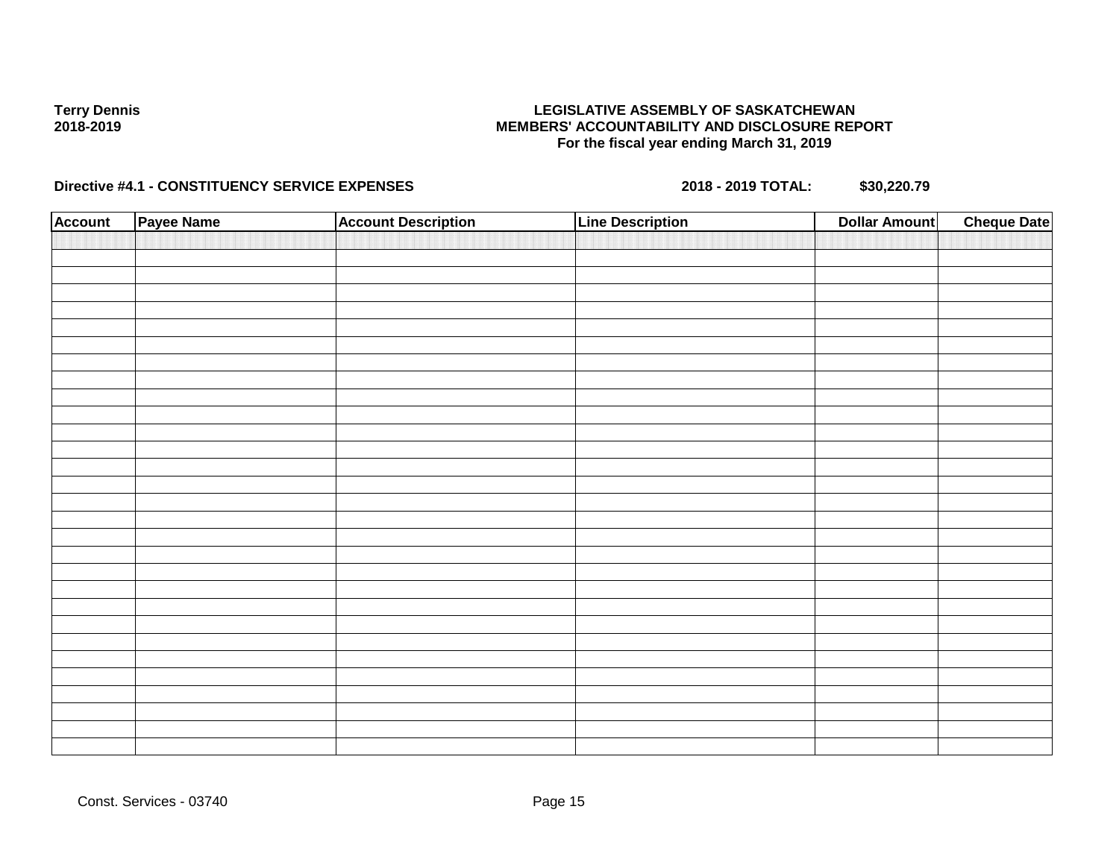### **LEGISLATIVE ASSEMBLY OF SASKATCHEWAN MEMBERS' ACCOUNTABILITY AND DISCLOSURE REPORT For the fiscal year ending March 31, 2019**

| <b>Account</b> | Payee Name | <b>Account Description</b> | <b>Line Description</b> | <b>Dollar Amount</b> | <b>Cheque Date</b> |
|----------------|------------|----------------------------|-------------------------|----------------------|--------------------|
|                |            |                            |                         |                      |                    |
|                |            |                            |                         |                      |                    |
|                |            |                            |                         |                      |                    |
|                |            |                            |                         |                      |                    |
|                |            |                            |                         |                      |                    |
|                |            |                            |                         |                      |                    |
|                |            |                            |                         |                      |                    |
|                |            |                            |                         |                      |                    |
|                |            |                            |                         |                      |                    |
|                |            |                            |                         |                      |                    |
|                |            |                            |                         |                      |                    |
|                |            |                            |                         |                      |                    |
|                |            |                            |                         |                      |                    |
|                |            |                            |                         |                      |                    |
|                |            |                            |                         |                      |                    |
|                |            |                            |                         |                      |                    |
|                |            |                            |                         |                      |                    |
|                |            |                            |                         |                      |                    |
|                |            |                            |                         |                      |                    |
|                |            |                            |                         |                      |                    |
|                |            |                            |                         |                      |                    |
|                |            |                            |                         |                      |                    |
|                |            |                            |                         |                      |                    |
|                |            |                            |                         |                      |                    |
|                |            |                            |                         |                      |                    |
|                |            |                            |                         |                      |                    |
|                |            |                            |                         |                      |                    |
|                |            |                            |                         |                      |                    |
|                |            |                            |                         |                      |                    |
|                |            |                            |                         |                      |                    |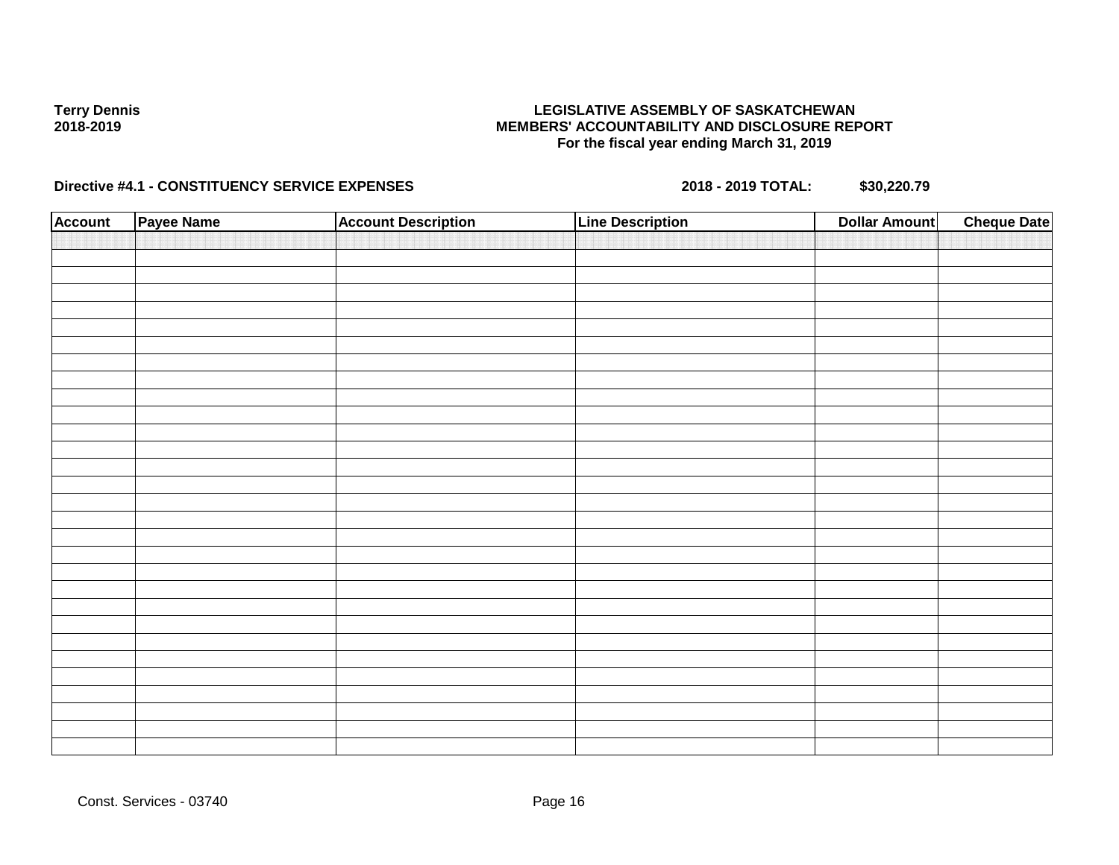### **LEGISLATIVE ASSEMBLY OF SASKATCHEWAN MEMBERS' ACCOUNTABILITY AND DISCLOSURE REPORT For the fiscal year ending March 31, 2019**

| <b>Account</b> | Payee Name | <b>Account Description</b> | <b>Line Description</b> | <b>Dollar Amount</b> | <b>Cheque Date</b> |
|----------------|------------|----------------------------|-------------------------|----------------------|--------------------|
|                |            |                            |                         |                      |                    |
|                |            |                            |                         |                      |                    |
|                |            |                            |                         |                      |                    |
|                |            |                            |                         |                      |                    |
|                |            |                            |                         |                      |                    |
|                |            |                            |                         |                      |                    |
|                |            |                            |                         |                      |                    |
|                |            |                            |                         |                      |                    |
|                |            |                            |                         |                      |                    |
|                |            |                            |                         |                      |                    |
|                |            |                            |                         |                      |                    |
|                |            |                            |                         |                      |                    |
|                |            |                            |                         |                      |                    |
|                |            |                            |                         |                      |                    |
|                |            |                            |                         |                      |                    |
|                |            |                            |                         |                      |                    |
|                |            |                            |                         |                      |                    |
|                |            |                            |                         |                      |                    |
|                |            |                            |                         |                      |                    |
|                |            |                            |                         |                      |                    |
|                |            |                            |                         |                      |                    |
|                |            |                            |                         |                      |                    |
|                |            |                            |                         |                      |                    |
|                |            |                            |                         |                      |                    |
|                |            |                            |                         |                      |                    |
|                |            |                            |                         |                      |                    |
|                |            |                            |                         |                      |                    |
|                |            |                            |                         |                      |                    |
|                |            |                            |                         |                      |                    |
|                |            |                            |                         |                      |                    |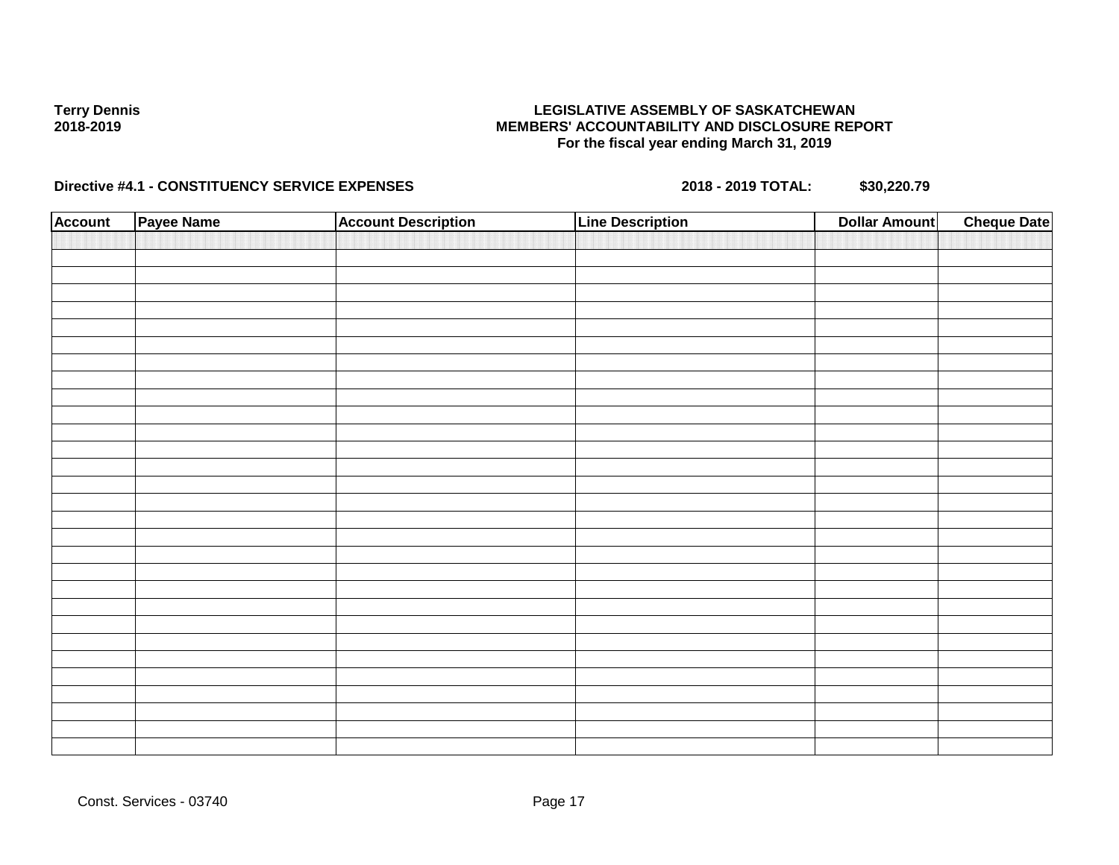### **LEGISLATIVE ASSEMBLY OF SASKATCHEWAN MEMBERS' ACCOUNTABILITY AND DISCLOSURE REPORT For the fiscal year ending March 31, 2019**

| <b>Account</b> | Payee Name | <b>Account Description</b> | <b>Line Description</b> | <b>Dollar Amount</b> | <b>Cheque Date</b> |
|----------------|------------|----------------------------|-------------------------|----------------------|--------------------|
|                |            |                            |                         |                      |                    |
|                |            |                            |                         |                      |                    |
|                |            |                            |                         |                      |                    |
|                |            |                            |                         |                      |                    |
|                |            |                            |                         |                      |                    |
|                |            |                            |                         |                      |                    |
|                |            |                            |                         |                      |                    |
|                |            |                            |                         |                      |                    |
|                |            |                            |                         |                      |                    |
|                |            |                            |                         |                      |                    |
|                |            |                            |                         |                      |                    |
|                |            |                            |                         |                      |                    |
|                |            |                            |                         |                      |                    |
|                |            |                            |                         |                      |                    |
|                |            |                            |                         |                      |                    |
|                |            |                            |                         |                      |                    |
|                |            |                            |                         |                      |                    |
|                |            |                            |                         |                      |                    |
|                |            |                            |                         |                      |                    |
|                |            |                            |                         |                      |                    |
|                |            |                            |                         |                      |                    |
|                |            |                            |                         |                      |                    |
|                |            |                            |                         |                      |                    |
|                |            |                            |                         |                      |                    |
|                |            |                            |                         |                      |                    |
|                |            |                            |                         |                      |                    |
|                |            |                            |                         |                      |                    |
|                |            |                            |                         |                      |                    |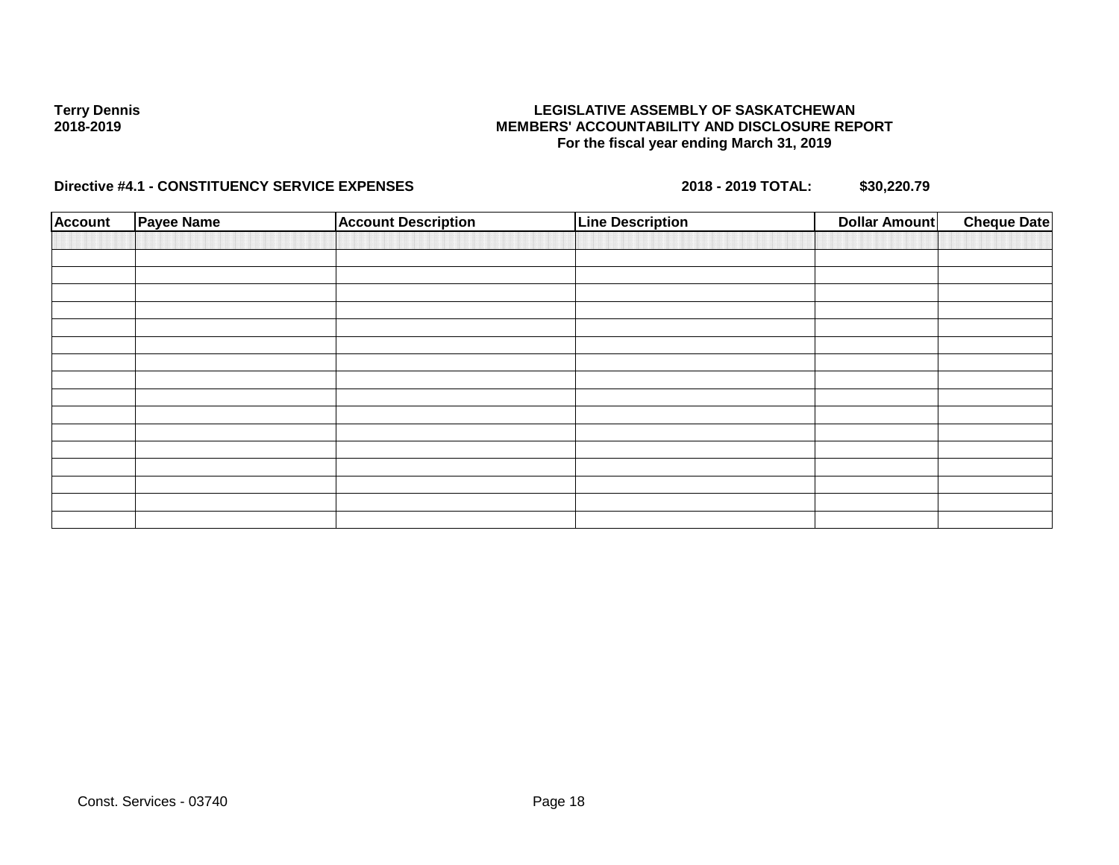### **LEGISLATIVE ASSEMBLY OF SASKATCHEWAN MEMBERS' ACCOUNTABILITY AND DISCLOSURE REPORT For the fiscal year ending March 31, 2019**

| <b>Account</b> | <b>Payee Name</b> | <b>Account Description</b> | <b>Line Description</b> | <b>Dollar Amount</b> | <b>Cheque Date</b> |
|----------------|-------------------|----------------------------|-------------------------|----------------------|--------------------|
|                |                   |                            |                         |                      |                    |
|                |                   |                            |                         |                      |                    |
|                |                   |                            |                         |                      |                    |
|                |                   |                            |                         |                      |                    |
|                |                   |                            |                         |                      |                    |
|                |                   |                            |                         |                      |                    |
|                |                   |                            |                         |                      |                    |
|                |                   |                            |                         |                      |                    |
|                |                   |                            |                         |                      |                    |
|                |                   |                            |                         |                      |                    |
|                |                   |                            |                         |                      |                    |
|                |                   |                            |                         |                      |                    |
|                |                   |                            |                         |                      |                    |
|                |                   |                            |                         |                      |                    |
|                |                   |                            |                         |                      |                    |
|                |                   |                            |                         |                      |                    |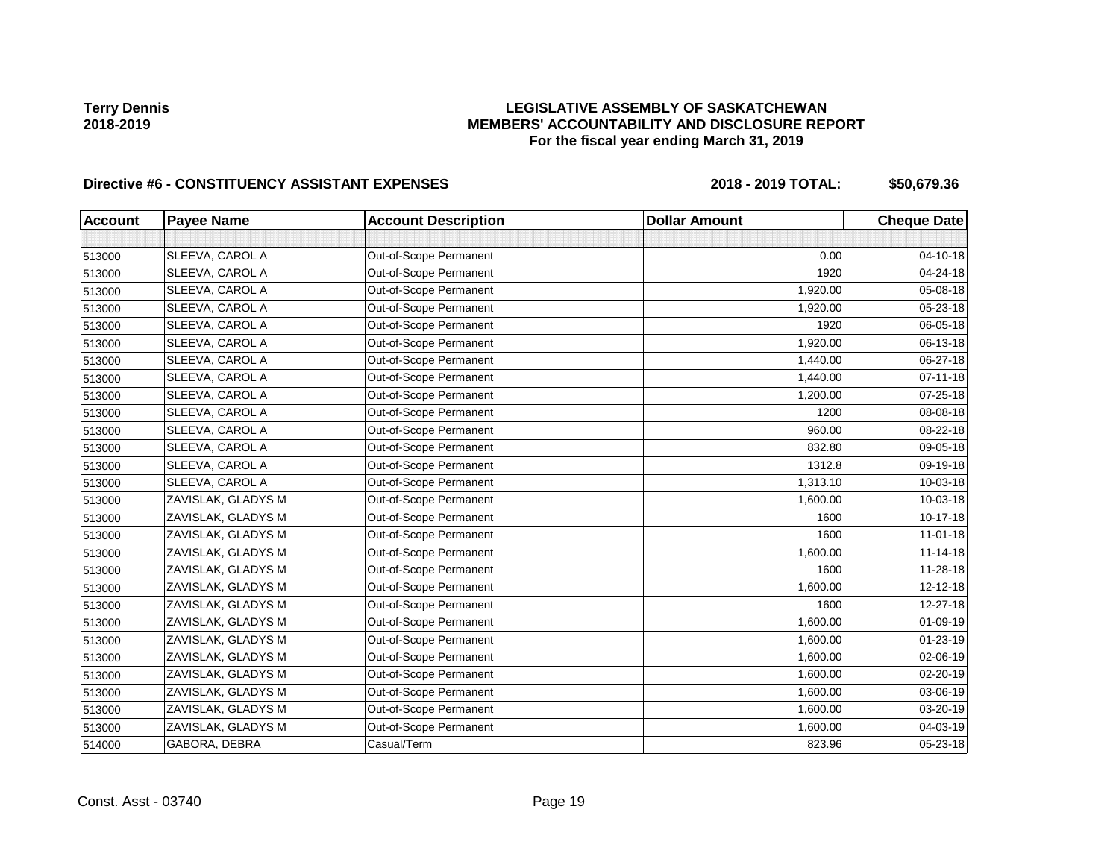## **LEGISLATIVE ASSEMBLY OF SASKATCHEWAN MEMBERS' ACCOUNTABILITY AND DISCLOSURE REPORT For the fiscal year ending March 31, 2019**

# Directive #6 - CONSTITUENCY ASSISTANT EXPENSES 2018 - 2018 - 2019 TOTAL: \$50,679.36

| <b>Account</b> | <b>Payee Name</b>  | <b>Account Description</b> | <b>Dollar Amount</b> | <b>Cheque Date</b> |
|----------------|--------------------|----------------------------|----------------------|--------------------|
|                |                    |                            |                      |                    |
| 513000         | SLEEVA, CAROL A    | Out-of-Scope Permanent     | 0.00                 | 04-10-18           |
| 513000         | SLEEVA, CAROL A    | Out-of-Scope Permanent     | 1920                 | 04-24-18           |
| 513000         | SLEEVA, CAROL A    | Out-of-Scope Permanent     | 1,920.00             | 05-08-18           |
| 513000         | SLEEVA, CAROL A    | Out-of-Scope Permanent     | 1,920.00             | 05-23-18           |
| 513000         | SLEEVA, CAROL A    | Out-of-Scope Permanent     | 1920                 | 06-05-18           |
| 513000         | SLEEVA, CAROL A    | Out-of-Scope Permanent     | 1,920.00             | 06-13-18           |
| 513000         | SLEEVA, CAROL A    | Out-of-Scope Permanent     | 1,440.00             | 06-27-18           |
| 513000         | SLEEVA, CAROL A    | Out-of-Scope Permanent     | 1,440.00             | $07 - 11 - 18$     |
| 513000         | SLEEVA, CAROL A    | Out-of-Scope Permanent     | 1,200.00             | 07-25-18           |
| 513000         | SLEEVA, CAROL A    | Out-of-Scope Permanent     | 1200                 | 08-08-18           |
| 513000         | SLEEVA, CAROL A    | Out-of-Scope Permanent     | 960.00               | 08-22-18           |
| 513000         | SLEEVA, CAROL A    | Out-of-Scope Permanent     | 832.80               | 09-05-18           |
| 513000         | SLEEVA, CAROL A    | Out-of-Scope Permanent     | 1312.8               | 09-19-18           |
| 513000         | SLEEVA, CAROL A    | Out-of-Scope Permanent     | 1,313.10             | 10-03-18           |
| 513000         | ZAVISLAK, GLADYS M | Out-of-Scope Permanent     | 1,600.00             | 10-03-18           |
| 513000         | ZAVISLAK, GLADYS M | Out-of-Scope Permanent     | 1600                 | 10-17-18           |
| 513000         | ZAVISLAK, GLADYS M | Out-of-Scope Permanent     | 1600                 | $11-01-18$         |
| 513000         | ZAVISLAK, GLADYS M | Out-of-Scope Permanent     | 1,600.00             | $11 - 14 - 18$     |
| 513000         | ZAVISLAK, GLADYS M | Out-of-Scope Permanent     | 1600                 | 11-28-18           |
| 513000         | ZAVISLAK, GLADYS M | Out-of-Scope Permanent     | 1,600.00             | 12-12-18           |
| 513000         | ZAVISLAK, GLADYS M | Out-of-Scope Permanent     | 1600                 | 12-27-18           |
| 513000         | ZAVISLAK, GLADYS M | Out-of-Scope Permanent     | 1,600.00             | $01 - 09 - 19$     |
| 513000         | ZAVISLAK, GLADYS M | Out-of-Scope Permanent     | 1,600.00             | $01 - 23 - 19$     |
| 513000         | ZAVISLAK, GLADYS M | Out-of-Scope Permanent     | 1,600.00             | 02-06-19           |
| 513000         | ZAVISLAK, GLADYS M | Out-of-Scope Permanent     | 1,600.00             | 02-20-19           |
| 513000         | ZAVISLAK, GLADYS M | Out-of-Scope Permanent     | 1,600.00             | 03-06-19           |
| 513000         | ZAVISLAK, GLADYS M | Out-of-Scope Permanent     | 1,600.00             | 03-20-19           |
| 513000         | ZAVISLAK, GLADYS M | Out-of-Scope Permanent     | 1,600.00             | 04-03-19           |
| 514000         | GABORA, DEBRA      | Casual/Term                | 823.96               | 05-23-18           |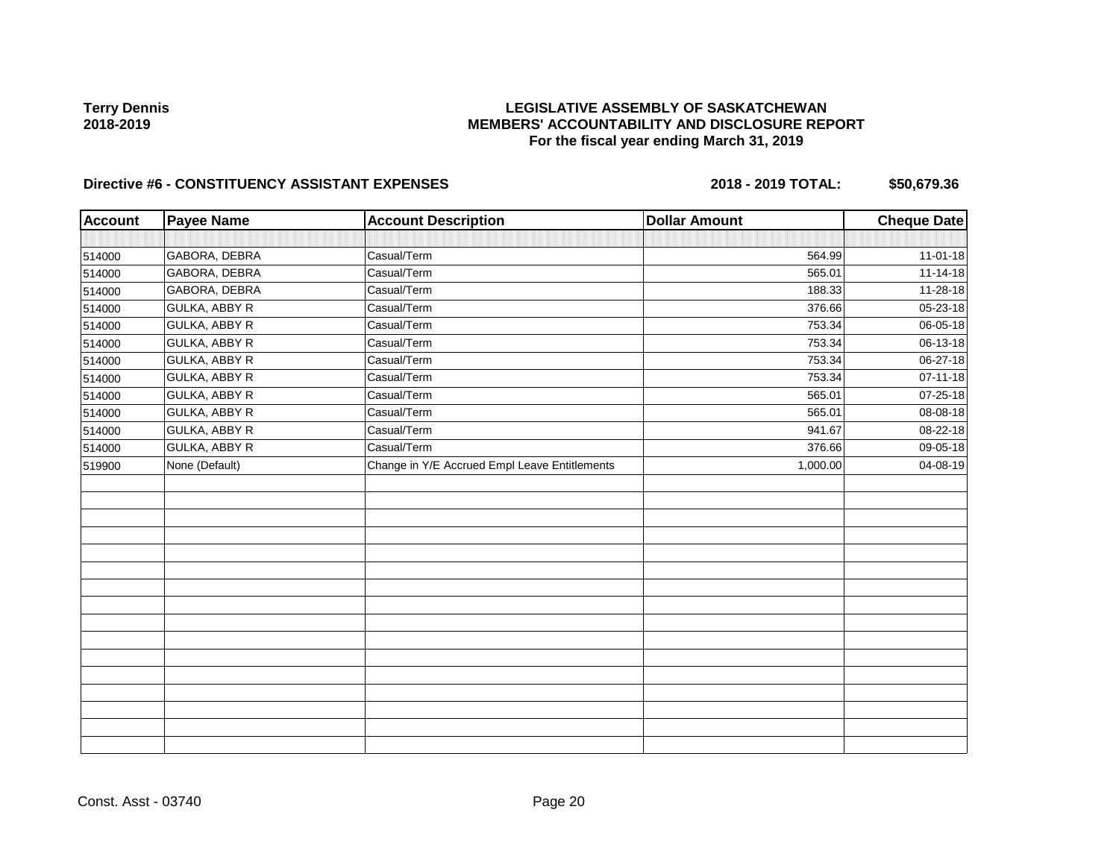## **LEGISLATIVE ASSEMBLY OF SASKATCHEWAN MEMBERS' ACCOUNTABILITY AND DISCLOSURE REPORT For the fiscal year ending March 31, 2019**

## Directive #6 - CONSTITUENCY ASSISTANT EXPENSES 2018 - 2018 - 2019 TOTAL: \$50,679.36

| <b>Account</b> | <b>Payee Name</b>    | <b>Account Description</b>                    | <b>Dollar Amount</b> | <b>Cheque Date</b> |
|----------------|----------------------|-----------------------------------------------|----------------------|--------------------|
|                |                      |                                               |                      |                    |
| 514000         | GABORA, DEBRA        | Casual/Term                                   | 564.99               | $11-01-18$         |
| 514000         | GABORA, DEBRA        | Casual/Term                                   | 565.01               | $11 - 14 - 18$     |
| 514000         | GABORA, DEBRA        | Casual/Term                                   | 188.33               | 11-28-18           |
| 514000         | <b>GULKA, ABBY R</b> | Casual/Term                                   | 376.66               | 05-23-18           |
| 514000         | GULKA, ABBY R        | Casual/Term                                   | 753.34               | 06-05-18           |
| 514000         | <b>GULKA, ABBY R</b> | Casual/Term                                   | 753.34               | 06-13-18           |
| 514000         | GULKA, ABBY R        | Casual/Term                                   | 753.34               | 06-27-18           |
| 514000         | <b>GULKA, ABBY R</b> | Casual/Term                                   | 753.34               | $07 - 11 - 18$     |
| 514000         | <b>GULKA, ABBY R</b> | Casual/Term                                   | 565.01               | 07-25-18           |
| 514000         | GULKA, ABBY R        | Casual/Term                                   | 565.01               | 08-08-18           |
| 514000         | <b>GULKA, ABBY R</b> | Casual/Term                                   | 941.67               | 08-22-18           |
| 514000         | <b>GULKA, ABBY R</b> | Casual/Term                                   | 376.66               | 09-05-18           |
| 519900         | None (Default)       | Change in Y/E Accrued Empl Leave Entitlements | 1,000.00             | 04-08-19           |
|                |                      |                                               |                      |                    |
|                |                      |                                               |                      |                    |
|                |                      |                                               |                      |                    |
|                |                      |                                               |                      |                    |
|                |                      |                                               |                      |                    |
|                |                      |                                               |                      |                    |
|                |                      |                                               |                      |                    |
|                |                      |                                               |                      |                    |
|                |                      |                                               |                      |                    |
|                |                      |                                               |                      |                    |
|                |                      |                                               |                      |                    |
|                |                      |                                               |                      |                    |
|                |                      |                                               |                      |                    |
|                |                      |                                               |                      |                    |
|                |                      |                                               |                      |                    |
|                |                      |                                               |                      |                    |

Const. Asst - 03740 Page 20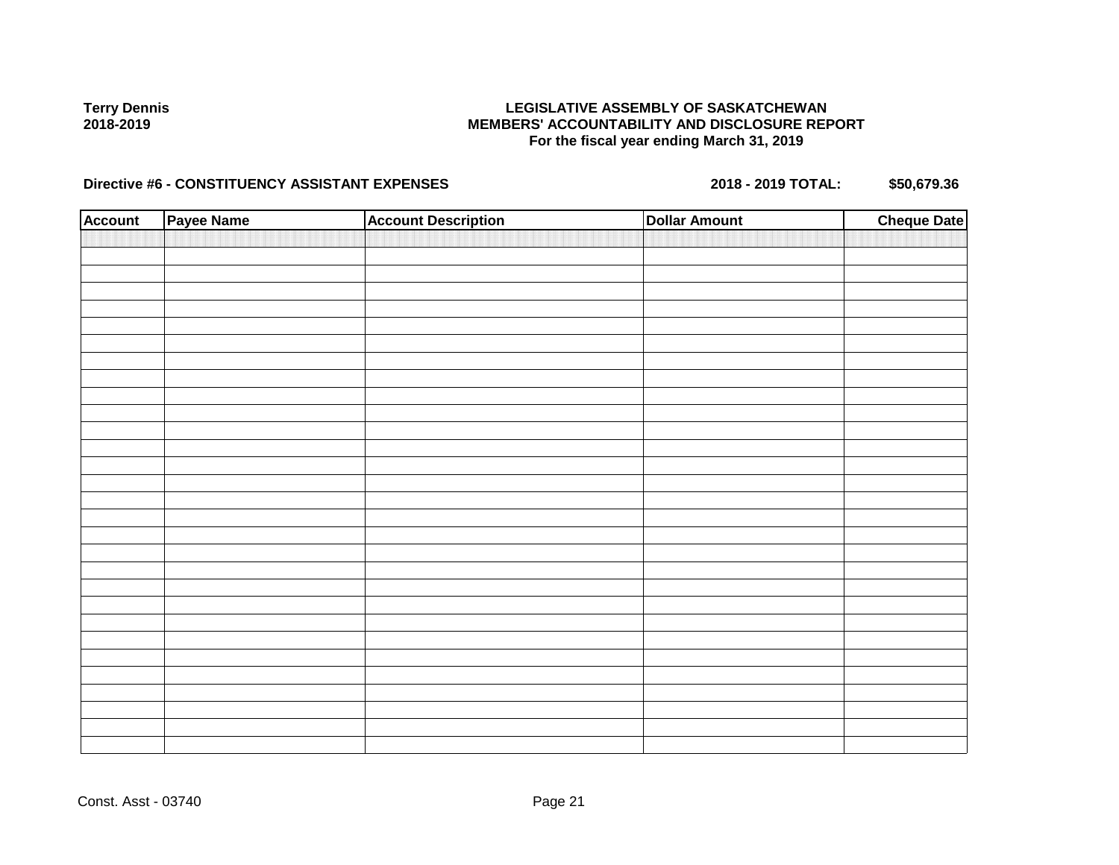### **LEGISLATIVE ASSEMBLY OF SASKATCHEWAN MEMBERS' ACCOUNTABILITY AND DISCLOSURE REPORT For the fiscal year ending March 31, 2019**

# Directive #6 - CONSTITUENCY ASSISTANT EXPENSES 2018 - 2018 - 2019 TOTAL: \$50,679.36

| <b>Account</b> | Payee Name | <b>Account Description</b> | <b>Dollar Amount</b> | <b>Cheque Date</b> |
|----------------|------------|----------------------------|----------------------|--------------------|
|                |            |                            |                      |                    |
|                |            |                            |                      |                    |
|                |            |                            |                      |                    |
|                |            |                            |                      |                    |
|                |            |                            |                      |                    |
|                |            |                            |                      |                    |
|                |            |                            |                      |                    |
|                |            |                            |                      |                    |
|                |            |                            |                      |                    |
|                |            |                            |                      |                    |
|                |            |                            |                      |                    |
|                |            |                            |                      |                    |
|                |            |                            |                      |                    |
|                |            |                            |                      |                    |
|                |            |                            |                      |                    |
|                |            |                            |                      |                    |
|                |            |                            |                      |                    |
|                |            |                            |                      |                    |
|                |            |                            |                      |                    |
|                |            |                            |                      |                    |
|                |            |                            |                      |                    |
|                |            |                            |                      |                    |
|                |            |                            |                      |                    |
|                |            |                            |                      |                    |
|                |            |                            |                      |                    |
|                |            |                            |                      |                    |
|                |            |                            |                      |                    |
|                |            |                            |                      |                    |
|                |            |                            |                      |                    |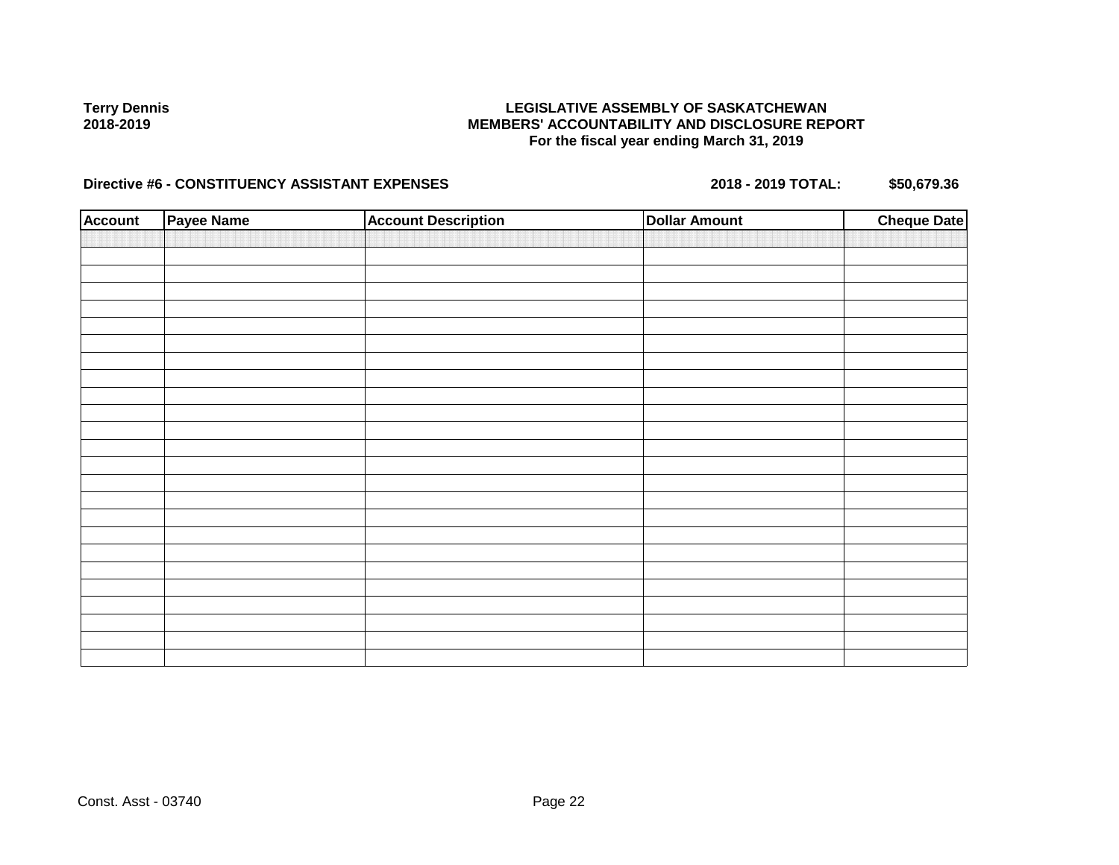### **LEGISLATIVE ASSEMBLY OF SASKATCHEWAN MEMBERS' ACCOUNTABILITY AND DISCLOSURE REPORT For the fiscal year ending March 31, 2019**

## Directive #6 - CONSTITUENCY ASSISTANT EXPENSES 2018 - 2018 - 2019 TOTAL: \$50,679.36

| <b>Account</b> | <b>Payee Name</b> | <b>Account Description</b> | <b>Dollar Amount</b> | <b>Cheque Date</b> |
|----------------|-------------------|----------------------------|----------------------|--------------------|
|                |                   |                            |                      |                    |
|                |                   |                            |                      |                    |
|                |                   |                            |                      |                    |
|                |                   |                            |                      |                    |
|                |                   |                            |                      |                    |
|                |                   |                            |                      |                    |
|                |                   |                            |                      |                    |
|                |                   |                            |                      |                    |
|                |                   |                            |                      |                    |
|                |                   |                            |                      |                    |
|                |                   |                            |                      |                    |
|                |                   |                            |                      |                    |
|                |                   |                            |                      |                    |
|                |                   |                            |                      |                    |
|                |                   |                            |                      |                    |
|                |                   |                            |                      |                    |
|                |                   |                            |                      |                    |
|                |                   |                            |                      |                    |
|                |                   |                            |                      |                    |
|                |                   |                            |                      |                    |
|                |                   |                            |                      |                    |
|                |                   |                            |                      |                    |
|                |                   |                            |                      |                    |
|                |                   |                            |                      |                    |